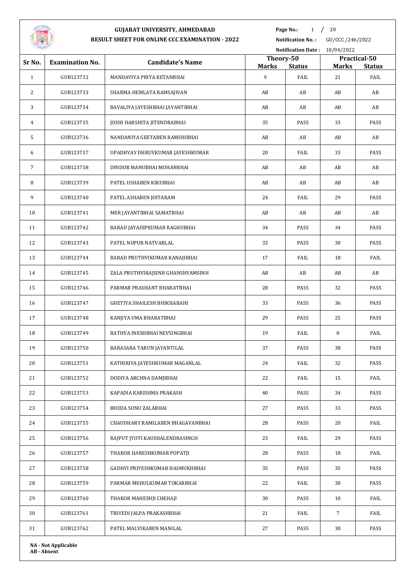

**Page No.:** 1 / 20

**Notification No. :** GU/CCC /246/2022

**Notification Date :** 10/04/2022

| Sr No.       | <b>Examination No.</b>     | <b>Candidate's Name</b>           | Theory-50<br><b>Marks</b> | <b>Status</b> | Marks       | Practical-50<br><b>Status</b> |
|--------------|----------------------------|-----------------------------------|---------------------------|---------------|-------------|-------------------------------|
| $\mathbf{1}$ | GUB123732                  | MANDAVIYA PRIYA KETANBHAI         | 9                         | FAIL          | 21          | FAIL                          |
| 2            | GUB123733                  | SHARMA HEMLATA RAMSAJIVAN         | AB                        | AB            | AB          | AB                            |
| 3            | GUB123734                  | BAVALIYA JAYESHBHAI JAYANTIBHAI   | AB                        | AB            | AB          | AB                            |
| 4            | GUB123735                  | JOSHI HARSHITA JITENDRABHAI       | 35                        | PASS          | 33          | PASS                          |
| 5            | GUB123736                  | NANDANIYA GEETABEN RAMSHIBHAI     | AB                        | AB            | AB          | AB                            |
| 6            | GUB123737                  | UPADHYAY DHRUVKUMAR JAYESHKUMAR   | 20                        | FAIL          | 33          | PASS                          |
| 7            | GUB123738                  | DINDOR MANUBHAI MOHANBHAI         | AB                        | AB            | AB          | AB                            |
| 8            | GUB123739                  | PATEL USHABEN KIKUBHAI            | AB                        | AB            | AB          | AB                            |
| 9            | GUB123740                  | PATEL ASHABEN JOITARAM            | 24                        | FAIL          | 29          | PASS                          |
| 10           | GUB123741                  | MER JAYANTIBHAI SAMATBHAI         | AB                        | AB            | AB          | AB                            |
| 11           | GUB123742                  | BARAD JAYADIPKUMAR RAGHUBHAI      | 34                        | PASS          | 34          | PASS                          |
| 12           | GUB123743                  | PATEL NUPUR NATVARLAL             | 33                        | PASS          | 30          | PASS                          |
| 13           | GUB123744                  | BARAD PRUTHVIKUMAR KANAJIBHAI     | 17                        | FAIL          | 18          | FAIL                          |
| 14           | GUB123745                  | ZALA PRUTHVIRAJSINH GHANSHYAMSINH | AB                        | AB            | AB          | AB                            |
| 15           | GUB123746                  | PARMAR PRASHANT BHARATBHAI        | 28                        | PASS          | 32          | PASS                          |
| 16           | GUB123747                  | GHETIYA SHAILESH BHIKHABAHI       | 33                        | PASS          | 36          | PASS                          |
| 17           | GUB123748                  | KANJIYA UMA BHARATBHAI            | 29                        | PASS          | 25          | PASS                          |
| 18           | GUB123749                  | RATHVA INESHBHAI NEVSINGBHAI      | 19                        | FAIL          | $\bf{0}$    | FAIL                          |
| 19           | GUB123750                  | BARASARA TARUN JAYANTILAL         | 37                        | PASS          | 38          | PASS                          |
| 20           | GUB123751                  | KATHIRIYA JAYESHKUMAR MAGANLAL    | 24                        | FAIL          | 32          | PASS                          |
| 21           | GUB123752                  | DODIYA ARCHNA DAMJIBHAI           | 22                        | FAIL          | 15          | FAIL                          |
| 22           | GUB123753                  | KAPADIA KARISHMA PRAKASH          | 40                        | PASS          | 34          | PASS                          |
| 23           | GUB123754                  | BHEDA SONU ZALABHAI               | 27                        | PASS          | 33          | PASS                          |
| 24           | GUB123755                  | CHAUDHARY RAMILABEN BHAGAVANBHAI  | 28                        | PASS          | 20          | FAIL                          |
| 25           | GUB123756                  | RAJPUT JYOTI KAUSHALENDRASINGH    | 23                        | FAIL          | 29          | PASS                          |
| 26           | GUB123757                  | THAKOR HARESHKUMAR POPATJI        | 28                        | PASS          | 18          | FAIL                          |
| 27           | GUB123758                  | GADHVI PRIYESHKUMAR HASMUKHBHAI   | 35                        | PASS          | 35          | PASS                          |
| 28           | GUB123759                  | PARMAR MEHULKUMAR TOKARBHAI       | 22                        | FAIL          | 30          | PASS                          |
| 29           | GUB123760                  | THAKOR MAHESHJI CHEHAJI           | 30                        | PASS          | 10          | FAIL                          |
| 30           | GUB123761                  | TRIVEDI JALPA PRAKASHBHAI         | 21                        | FAIL          | $7^{\circ}$ | FAIL                          |
| 31           | GUB123762                  | PATEL MALVIKABEN MANILAL          | 27                        | PASS          | 30          | PASS                          |
|              | <b>NA - Not Applicable</b> |                                   |                           |               |             |                               |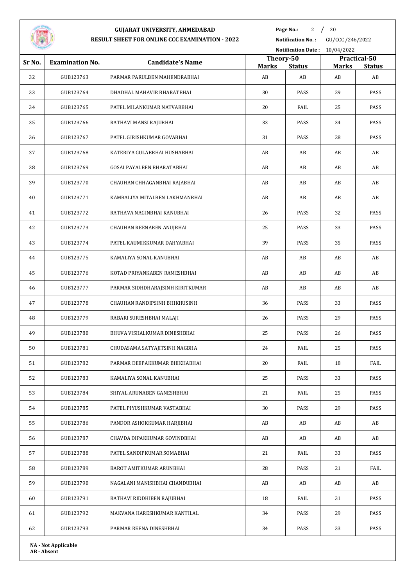

**Page No.:** 2  $/$  20

| Sr No.<br>32<br>33 | <b>Examination No.</b><br>GUB123763 | <b>Candidate's Name</b>           | Theory-50<br><b>Marks</b> | <b>Status</b> | <b>Marks</b> | Practical-50        |
|--------------------|-------------------------------------|-----------------------------------|---------------------------|---------------|--------------|---------------------|
|                    |                                     |                                   |                           |               |              |                     |
|                    |                                     | PARMAR PARULBEN MAHENDRABHAI      | AB                        | AB            | AB           | <b>Status</b><br>AB |
|                    | GUB123764                           | DHADHAL MAHAVIR BHARATBHAI        | 30                        | PASS          | 29           | PASS                |
| 34                 | GUB123765                           | PATEL MILANKUMAR NATVARBHAI       | 20                        | FAIL          | 25           | PASS                |
| 35                 | GUB123766                           | RATHAVI MANSI RAJUBHAI            | 33                        | PASS          | 34           | PASS                |
| 36                 | GUB123767                           | PATEL GIRISHKUMAR GOVABHAI        | 31                        | PASS          | 28           | PASS                |
| 37                 | GUB123768                           | KATERIYA GULABBHAI HUSHABHAI      | AB                        | AB            | AB           | AB                  |
| 38                 | GUB123769                           | <b>GOSAI PAYALBEN BHARATABHAI</b> | AB                        | AB            | AB           | AB                  |
| 39                 | GUB123770                           | CHAUHAN CHHAGANBHAI RAJABHAI      | AB                        | AB            | AB           | AB                  |
| 40                 | GUB123771                           | KAMBALIYA MITALBEN LAKHMANBHAI    | AB                        | AB            | AB           | AB                  |
| 41                 | GUB123772                           | RATHAVA NAGINBHAI KANUBHAI        | 26                        | PASS          | 32           | PASS                |
| 42                 | GUB123773                           | CHAUHAN REENABEN ANUJBHAI         | 25                        | PASS          | 33           | PASS                |
| 43                 | GUB123774                           | PATEL KAUMIKKUMAR DAHYABHAI       | 39                        | PASS          | 35           | PASS                |
| 44                 | GUB123775                           | KAMALIYA SONAL KANUBHAI           | AB                        | AB            | AB           | AB                  |
| 45                 | GUB123776                           | KOTAD PRIYANKABEN RAMESHBHAI      | AB                        | AB            | AB           | AB                  |
|                    |                                     |                                   |                           |               | AB           | AB                  |
| 46                 | GUB123777                           | PARMAR SIDHDHARAJSINH KIRITKUMAR  | AB<br>36                  | AB            |              |                     |
| 47                 | GUB123778                           | CHAUHAN RANDIPSINH BHIKHUSINH     |                           | PASS          | 33           | PASS                |
| 48                 | GUB123779                           | RABARI SURESHBHAI MALAJI          | 26                        | PASS          | 29           | PASS                |
| 49                 | GUB123780                           | BHUVA VISHALKUMAR DINESHBHAI      | 25                        | PASS          | 26           | PASS                |
| 50                 | GUB123781                           | CHUDASAMA SATYAJITSINH NAGBHA     | 24                        | FAIL          | 25           | PASS                |
| 51                 | GUB123782                           | PARMAR DEEPAKKUMAR BHIKHABHAI     | 20                        | FAIL          | 18           | FAIL                |
| 52                 | GUB123783                           | KAMALIYA SONAL KANUBHAI           | 25                        | PASS          | 33           | PASS                |
| 53                 | GUB123784                           | SHIYAL ARUNABEN GANESHBHAI        | 21                        | FAIL          | 25           | PASS                |
| 54                 | GUB123785                           | PATEL PIYUSHKUMAR VASTABHAI       | 30                        | PASS          | 29           | PASS                |
| 55                 | GUB123786                           | PANDOR ASHOKKUMAR HARJIBHAI       | AB                        | AB            | AB           | AB                  |
| 56                 | GUB123787                           | CHAVDA DIPAKKUMAR GOVINDBHAI      | AB                        | AB            | AB           | AB                  |
| 57                 | GUB123788                           | PATEL SANDIPKUMAR SOMABHAI        | 21                        | FAIL          | 33           | PASS                |
| 58                 | GUB123789                           | BAROT AMITKUMAR ARUNBHAI          | 28                        | PASS          | 21           | FAIL                |
| 59                 | GUB123790                           | NAGALANI MANISHBHAI CHANDUBHAI    | AB                        | AB            | AB           | AB                  |
| 60                 | GUB123791                           | RATHAVI RIDDHIBEN RAJUBHAI        | 18                        | FAIL          | 31           | PASS                |
| 61                 | GUB123792                           | MAKVANA HARESHKUMAR KANTILAL      | 34                        | PASS          | 29           | PASS                |
| 62                 | GUB123793                           | PARMAR REENA DINESHBHAI           | 34                        | PASS          | 33           | PASS                |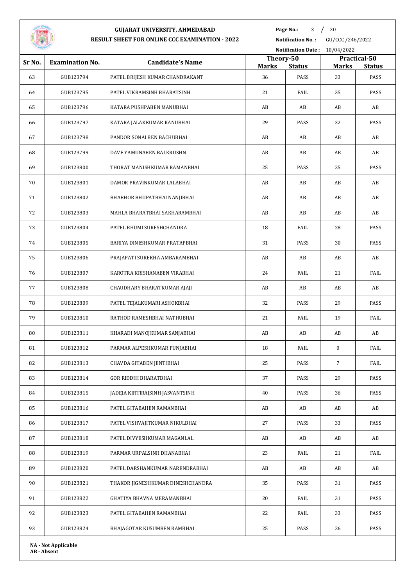

**Page No.:** / 20

| --     |                            |                                   |                           | <b>Notification Date:</b> | 10/04/2022     |                       |
|--------|----------------------------|-----------------------------------|---------------------------|---------------------------|----------------|-----------------------|
| Sr No. | <b>Examination No.</b>     | <b>Candidate's Name</b>           | Theory-50<br><b>Marks</b> |                           | <b>Marks</b>   | Practical-50          |
| 63     | GUB123794                  | PATEL BRIJESH KUMAR CHANDRAKANT   | 36                        | <b>Status</b><br>PASS     | 33             | <b>Status</b><br>PASS |
| 64     | GUB123795                  | PATEL VIKRAMSINH BHARATSINH       | 21                        | FAIL                      | 35             | PASS                  |
| 65     | GUB123796                  | KATARA PUSHPABEN MANUBHAI         | AB                        | AB                        | AB             | AB                    |
| 66     | GUB123797                  | KATARA JALAKKUMAR KANUBHAI        | 29                        | PASS                      | 32             | PASS                  |
| 67     | GUB123798                  | PANDOR SONALBEN BACHUBHAI         | AB                        | AB                        | AB             | AB                    |
| 68     | GUB123799                  | DAVE YAMUNABEN BALKRUSHN          | AB                        | AB                        | AB             | AB                    |
| 69     | GUB123800                  | THORAT MANISHKUMAR RAMANBHAI      | 25                        | PASS                      | 25             | PASS                  |
| 70     | GUB123801                  | DAMOR PRAVINKUMAR LALABHAI        | AB                        | AB                        | AB             | AB                    |
| 71     | GUB123802                  | BHABHOR BHUPATBHAI NANJIBHAI      | AB                        | AB                        | AB             | AB                    |
| 72     | GUB123803                  | MAHLA BHARATBHAI SAKHARAMBHAI     | AB                        | AB                        | AB             | AB                    |
| 73     | GUB123804                  | PATEL BHUMI SURESHCHANDRA         | 18                        | FAIL                      | 28             | PASS                  |
| 74     | GUB123805                  | BARIYA DINESHKUMAR PRATAPBHAI     | 31                        | PASS                      | 30             | PASS                  |
| 75     | GUB123806                  | PRAJAPATI SUREKHA AMBARAMBHAI     | AB                        | AB                        | AB             | AB                    |
| 76     | GUB123807                  | KAROTRA KRISHANABEN VIRABHAI      | 24                        | FAIL                      | 21             | FAIL                  |
| 77     | GUB123808                  | CHAUDHARY BHARATKUMAR AJAJI       | AB                        | AB                        | AB             | AB                    |
| 78     | GUB123809                  | PATEL TEJALKUMARI ASHOKBHAI       | 32                        | PASS                      | 29             | PASS                  |
| 79     | GUB123810                  | RATHOD RAMESHBHAI NATHUBHAI       | 21                        | FAIL                      | 19             | FAIL                  |
| 80     | GUB123811                  | KHARADI MANOJKUMAR SANJABHAI      | AB                        | AB                        | AB             | AB                    |
| 81     | GUB123812                  | PARMAR ALPESHKUMAR PUNJABHAI      | 18                        | FAIL                      | $\bf{0}$       | FAIL                  |
| 82     | GUB123813                  | CHAVDA GITABEN JENTIBHAI          | 25                        | PASS                      | $\overline{7}$ | FAIL                  |
| 83     | GUB123814                  | GOR RIDDHI BHARATBHAI             | 37                        | PASS                      | 29             | PASS                  |
| 84     | GUB123815                  | JADEJA KIRTIRAJSINH JASVANTSINH   | 40                        | PASS                      | 36             | PASS                  |
| 85     | GUB123816                  | PATEL GITABAHEN RAMANBHAI         | AB                        | AB                        | AB             | AB                    |
| 86     | GUB123817                  | PATEL VISHVAJITKUMAR NIKULBHAI    | 27                        | PASS                      | 33             | PASS                  |
| 87     | GUB123818                  | PATEL DIVYESHKUMAR MAGANLAL       | AB                        | AB                        | AB             | AB                    |
| 88     | GUB123819                  | PARMAR URPALSINH DHANABHAI        | 23                        | FAIL                      | 21             | FAIL                  |
| 89     | GUB123820                  | PATEL DARSHANKUMAR NARENDRABHAI   | AB                        | AB                        | AB             | AB                    |
| 90     | GUB123821                  | THAKOR JIGNESHKUMAR DINESHCHANDRA | 35                        | PASS                      | 31             | PASS                  |
| 91     | GUB123822                  | GHATIYA BHAVNA MERAMANBHAI        | 20                        | FAIL                      | 31             | PASS                  |
| 92     | GUB123823                  | PATEL GITABAHEN RAMANBHAI         | 22                        | FAIL                      | 33             | PASS                  |
| 93     | GUB123824                  | BHAJAGOTAR KUSUMBEN RAMBHAI       | 25                        | PASS                      | 26             | PASS                  |
|        | <b>NA - Not Applicable</b> |                                   |                           |                           |                |                       |
|        |                            |                                   |                           |                           |                |                       |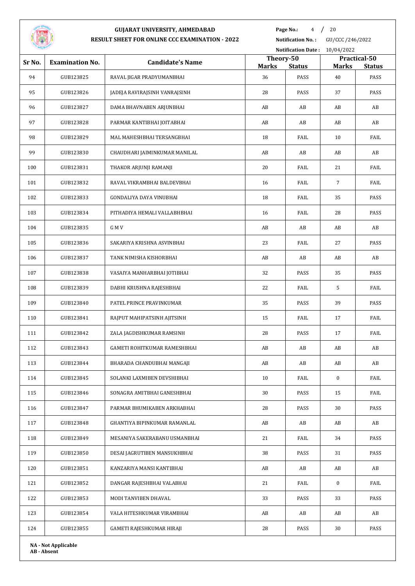

**Page No.:** 4 / 20

**Notification No. :** GU/CCC /246/2022

|        |                            |                                     | <b>Notification Date:</b><br>10/04/2022 |                        |                                               |      |  |
|--------|----------------------------|-------------------------------------|-----------------------------------------|------------------------|-----------------------------------------------|------|--|
| Sr No. | <b>Examination No.</b>     | <b>Candidate's Name</b>             | Theory-50<br><b>Marks</b>               |                        | Practical-50<br><b>Marks</b><br><b>Status</b> |      |  |
| 94     | GUB123825                  | RAVAL JIGAR PRADYUMANBHAI           | 36                                      | <b>Status</b><br>PASS  | 40                                            | PASS |  |
| 95     | GUB123826                  | JADEJA RAVIRAJSINH VANRAJSINH       | 28                                      | PASS                   | 37                                            | PASS |  |
| 96     | GUB123827                  | DAMA BHAVNABEN ARJUNBHAI            | AB                                      | AB                     | AB                                            | AB   |  |
| 97     | GUB123828                  | PARMAR KANTIBHAI JOITABHAI          | AB                                      | AB                     | AB                                            | AB   |  |
| 98     | GUB123829                  | MAL MAHESHBHAI TERSANGBHAI          | 18                                      | FAIL                   | 10                                            | FAIL |  |
| 99     | GUB123830                  | CHAUDHARI JAIMINKUMAR MANILAL       | AB                                      | AB                     | AB                                            | AB   |  |
| 100    | GUB123831                  | THAKOR ARJUNJI RAMANJI              | 20                                      | FAIL                   | 21                                            | FAIL |  |
| 101    | GUB123832                  | RAVAL VIKRAMBHAI BALDEVBHAI         | 16                                      | FAIL                   | $\overline{7}$                                | FAIL |  |
| 102    | GUB123833                  | GONDALIYA DAYA VINUBHAI             | 18                                      | FAIL                   | 35                                            | PASS |  |
| 103    | GUB123834                  | PITHADIYA HEMALI VALLABHBHAI        | 16                                      | FAIL                   | 28                                            | PASS |  |
| 104    | GUB123835                  | G M V                               | AB                                      | AB                     | AB                                            | AB   |  |
| 105    | GUB123836                  | SAKARIYA KRISHNA ASVINBHAI          | 23                                      | FAIL                   | 27                                            | PASS |  |
| 106    | GUB123837                  | TANK NIMISHA KISHORBHAI             | AB                                      | AB                     | AB                                            | AB   |  |
| 107    | GUB123838                  | VASAIYA MANHARBHAI JOTIBHAI         | 32                                      | PASS                   | 35                                            | PASS |  |
| 108    | GUB123839                  | DABHI KRUSHNA RAJESHBHAI            | 22                                      | FAIL                   | 5                                             | FAIL |  |
| 109    | GUB123840                  | PATEL PRINCE PRAVINKUMAR            | 35                                      | PASS                   | 39                                            | PASS |  |
| 110    | GUB123841                  | RAJPUT MAHIPATSINH AJITSINH         | 15                                      | FAIL                   | 17                                            | FAIL |  |
| 111    | GUB123842                  | ZALA JAGDISHKUMAR RAMSINH           | 28                                      | PASS                   | 17                                            | FAIL |  |
| 112    | GUB123843                  | <b>GAMETI ROHITKUMAR RAMESHBHAI</b> | AB                                      | AB                     | AB                                            | AB   |  |
| 113    | GUB123844                  | BHARADA CHANDUBHAI MANGAJI          | AB                                      | $\mathbf{A}\mathbf{B}$ | AB                                            | AB   |  |
| 114    | GUB123845                  | SOLANKI LAXMIBEN DEVSHIBHAI         | 10                                      | FAIL                   | $\bf{0}$                                      | FAIL |  |
| 115    | GUB123846                  | SONAGRA AMITBHAI GANESHBHAI         | 30                                      | PASS                   | 15                                            | FAIL |  |
| 116    | GUB123847                  | PARMAR BHUMIKABEN ARKHABHAI         | 28                                      | PASS                   | 30                                            | PASS |  |
| 117    | GUB123848                  | GHANTIYA BIPINKUMAR RAMANLAL        | AB                                      | AB                     | AB                                            | AB   |  |
| 118    | GUB123849                  | MESANIYA SAKERABANU USMANBHAI       | 21                                      | FAIL                   | 34                                            | PASS |  |
| 119    | GUB123850                  | DESAI JAGRUTIBEN MANSUKHBHAI        | 38                                      | PASS                   | 31                                            | PASS |  |
| 120    | GUB123851                  | KANZARIYA MANSI KANTIBHAI           | AB                                      | AB                     | AB                                            | AB   |  |
| 121    | GUB123852                  | DANGAR RAJESHBHAI VALABHAI          | 21                                      | FAIL                   | $\bf{0}$                                      | FAIL |  |
| 122    | GUB123853                  | MODI TANVIBEN DHAVAL                | 33                                      | PASS                   | 33                                            | PASS |  |
| 123    | GUB123854                  | VALA HITESHKUMAR VIRAMBHAI          | AB                                      | AB                     | AB                                            | AB   |  |
| 124    | GUB123855                  | GAMETI RAJESHKUMAR HIRAJI           | 28                                      | PASS                   | 30                                            | PASS |  |
|        | <b>NA - Not Applicable</b> |                                     |                                         |                        |                                               |      |  |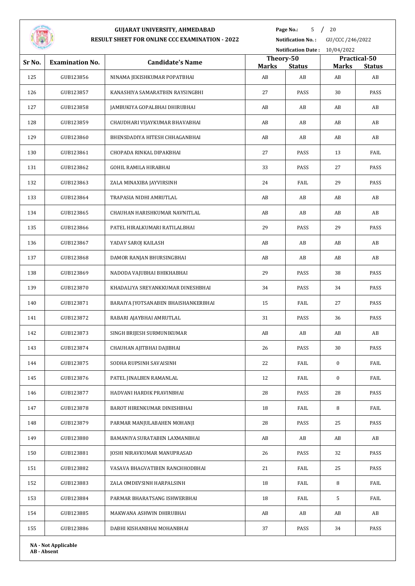

**Page No.:** / 20

**Notification No. :** GU/CCC /246/2022

| --<br><b>Notification Date:</b><br>10/04/2022 |                            |                                     |                           |               |              |                               |
|-----------------------------------------------|----------------------------|-------------------------------------|---------------------------|---------------|--------------|-------------------------------|
| Sr No.                                        | <b>Examination No.</b>     | <b>Candidate's Name</b>             | Theory-50<br><b>Marks</b> | <b>Status</b> | <b>Marks</b> | Practical-50<br><b>Status</b> |
| 125                                           | GUB123856                  | NINAMA JEKISHKUMAR POPATBHAI        | AB                        | AB            | AB           | AB                            |
| 126                                           | GUB123857                  | KANASHIYA SAMARATBEN RAYSINGBHI     | 27                        | PASS          | 30           | PASS                          |
| 127                                           | GUB123858                  | JAMBUKIYA GOPALBHAI DHIRUBHAI       | AB                        | AB            | AB           | AB                            |
| 128                                           | GUB123859                  | CHAUDHARI VIJAYKUMAR BHAVABHAI      | AB                        | AB            | AB           | AB                            |
| 129                                           | GUB123860                  | BHENSDADIYA HITESH CHHAGANBHAI      | AB                        | AB            | AB           | AB                            |
| 130                                           | GUB123861                  | CHOPADA RINKAL DIPAKBHAI            | 27                        | PASS          | 13           | FAIL                          |
| 131                                           | GUB123862                  | GOHIL RAMILA HIRABHAI               | 33                        | PASS          | 27           | PASS                          |
| 132                                           | GUB123863                  | ZALA MINAXIBA JAYVIRSINH            | 24                        | FAIL          | 29           | PASS                          |
| 133                                           | GUB123864                  | TRAPASIA NIDHI AMRUTLAL             | AB                        | AB            | AB           | AB                            |
| 134                                           | GUB123865                  | CHAUHAN HARISHKUMAR NAVNITLAL       | AB                        | AB            | AB           | AB                            |
| 135                                           | GUB123866                  | PATEL HIRALKUMARI RATILALBHAI       | 29                        | PASS          | 29           | PASS                          |
| 136                                           | GUB123867                  | YADAV SAROJ KAILASH                 | AB                        | AB            | AB           | AB                            |
| 137                                           | GUB123868                  | DAMOR RANJAN BHURSINGBHAI           | AB                        | AB            | AB           | AB                            |
| 138                                           | GUB123869                  | NADODA VAJUBHAI BHIKHABHAI          | 29                        | PASS          | 38           | PASS                          |
| 139                                           | GUB123870                  | KHADALIYA SREYANKKUMAR DINESHBHAI   | 34                        | PASS          | 34           | PASS                          |
| 140                                           | GUB123871                  | BARAIYA JYOTSANABEN BHAISHANKERBHAI | 15                        | FAIL          | 27           | PASS                          |
| 141                                           | GUB123872                  | RABARI AJAYBHAI AMRUTLAL            | 31                        | PASS          | 36           | PASS                          |
| 142                                           | GUB123873                  | SINGH BRIJESH SURMUNIKUMAR          | AB                        | AB            | AB           | AB                            |
| 143                                           | GUB123874                  | CHAUHAN AJITBHAI DAJIBHAI           | 26                        | PASS          | 30           | PASS                          |
| 144                                           | GUB123875                  | SODHA RUPSINH SAVAISINH             | 22                        | FAIL          | $\bf{0}$     | FAIL                          |
| 145                                           | GUB123876                  | PATEL JINALBEN RAMANLAL             | 12                        | FAIL          | $\bf{0}$     | FAIL                          |
| 146                                           | GUB123877                  | HADVANI HARDIK PRAVINBHAI           | 28                        | PASS          | 28           | PASS                          |
| 147                                           | GUB123878                  | BAROT HIRENKUMAR DINESHBHAI         | 18                        | FAIL          | 8            | FAIL                          |
| 148                                           | GUB123879                  | PARMAR MANJULABAHEN MOHANJI         | 28                        | PASS          | 25           | PASS                          |
| 149                                           | GUB123880                  | BAMANIYA SURATABEN LAXMANBHAI       | AB                        | AB            | AB           | AB                            |
| 150                                           | GUB123881                  | JOSHI NIRAVKUMAR MANUPRASAD         | 26                        | PASS          | 32           | PASS                          |
| 151                                           | GUB123882                  | VASAVA BHAGVATIBEN RANCHHODBHAI     | 21                        | FAIL          | 25           | PASS                          |
| 152                                           | GUB123883                  | ZALA OMDEVSINH HARPALSINH           | 18                        | FAIL          | 8            | FAIL                          |
| 153                                           | GUB123884                  | PARMAR BHARATSANG ISHWERBHAI        | 18                        | FAIL          | 5            | FAIL                          |
| 154                                           | GUB123885                  | MAKWANA ASHWIN DHIRUBHAI            | AB                        | AB            | AB           | AB                            |
| 155                                           | GUB123886                  | DABHI KISHANBHAI MOHANBHAI          | 37                        | PASS          | 34           | PASS                          |
|                                               | <b>NA - Not Applicable</b> |                                     |                           |               |              |                               |
|                                               |                            |                                     |                           |               |              |                               |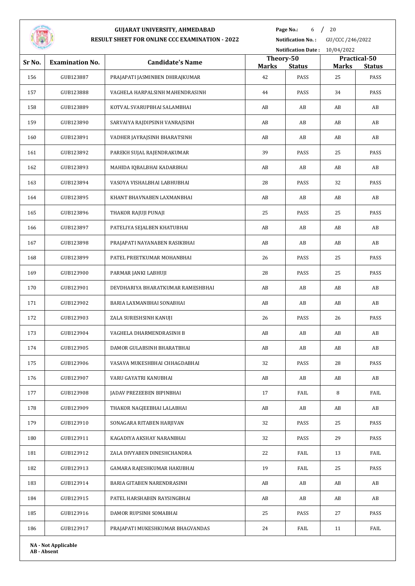

**Page No.:** 6 / 20

**Notification No. :** GU/CCC /246/2022

| Notification Date: 10/04/2022 |                            |                                   |                           |               |                                               |      |  |
|-------------------------------|----------------------------|-----------------------------------|---------------------------|---------------|-----------------------------------------------|------|--|
| Sr No.                        | <b>Examination No.</b>     | <b>Candidate's Name</b>           | Theory-50<br><b>Marks</b> | <b>Status</b> | Practical-50<br><b>Marks</b><br><b>Status</b> |      |  |
| 156                           | GUB123887                  | PRAJAPATI JASMINBEN DHIRAJKUMAR   | 42                        | PASS          | 25                                            | PASS |  |
| 157                           | GUB123888                  | VAGHELA HARPALSINH MAHENDRASINH   | 44                        | PASS          | 34                                            | PASS |  |
| 158                           | GUB123889                  | KOTVAL SVARUPBHAI SALAMBHAI       | AB                        | AB            | AB                                            | AB   |  |
| 159                           | GUB123890                  | SARVAIYA RAJDIPSINH VANRAJSINH    | AB                        | AB            | AB                                            | AB   |  |
| 160                           | GUB123891                  | VADHER JAYRAJSINH BHARATSINH      | AB                        | AB            | AB                                            | AB   |  |
| 161                           | GUB123892                  | PAREKH SUJAL RAJENDRAKUMAR        | 39                        | PASS          | 25                                            | PASS |  |
| 162                           | GUB123893                  | MAHIDA IQBALBHAI KADARBHAI        | AB                        | AB            | AB                                            | AB   |  |
| 163                           | GUB123894                  | VASOYA VISHALBHAI LABHUBHAI       | 28                        | PASS          | 32                                            | PASS |  |
| 164                           | GUB123895                  | KHANT BHAVNABEN LAXMANBHAI        | AB                        | AB            | AB                                            | AB   |  |
| 165                           | GUB123896                  | THAKOR RAJUJI PUNAJI              | 25                        | PASS          | 25                                            | PASS |  |
| 166                           | GUB123897                  | PATELIYA SEJALBEN KHATUBHAI       | AB                        | AB            | AB                                            | AB   |  |
| 167                           | GUB123898                  | PRAJAPATI NAYANABEN RASIKBHAI     | AB                        | AB            | AB                                            | AB   |  |
| 168                           | GUB123899                  | PATEL PREETKUMAR MOHANBHAI        | 26                        | PASS          | 25                                            | PASS |  |
| 169                           | GUB123900                  | PARMAR JANKI LABHUJI              | 28                        | PASS          | 25                                            | PASS |  |
| 170                           | GUB123901                  | DEVDHARIYA BHARATKUMAR RAMESHBHAI | AB                        | AB            | AB                                            | AB   |  |
| 171                           | GUB123902                  | BARIA LAXMANBHAI SONABHAI         | AB                        | AB            | AB                                            | AB   |  |
| 172                           | GUB123903                  | ZALA SURESHSINH KANUJI            | 26                        | PASS          | 26                                            | PASS |  |
| 173                           | GUB123904                  | VAGHELA DHARMENDRASINH B          | AB                        | AB            | AB                                            | AB   |  |
| 174                           | GUB123905                  | DAMOR GULABSINH BHARATBHAI        | AB                        | AB            | AB                                            | AB   |  |
| 175                           | GUB123906                  | VASAVA MUKESHBHAI CHHAGDABHAI     | 32                        | PASS          | 28                                            | PASS |  |
| 176                           | GUB123907                  | VARU GAYATRI KANUBHAI             | AB                        | AB            | AB                                            | AB   |  |
| 177                           | GUB123908                  | JADAV PREZEEBEN BIPINBHAI         | 17                        | FAIL          | 8                                             | FAIL |  |
| 178                           | GUB123909                  | THAKOR NAGJEEBHAI LALABHAI        | AB                        | AB            | AB                                            | AB   |  |
| 179                           | GUB123910                  | SONAGARA RITABEN HARJIVAN         | 32                        | PASS          | 25                                            | PASS |  |
| 180                           | GUB123911                  | KAGADIYA AKSHAY NARANBHAI         | 32                        | PASS          | 29                                            | PASS |  |
| 181                           | GUB123912                  | ZALA DIVYABEN DINESHCHANDRA       | 22                        | FAIL          | 13                                            | FAIL |  |
| 182                           | GUB123913                  | GAMARA RAJESHKUMAR HAKUBHAI       | 19                        | FAIL          | 25                                            | PASS |  |
| 183                           | GUB123914                  | BARIA GITABEN NARENDRASINH        | AB                        | AB            | AB                                            | AB   |  |
| 184                           | GUB123915                  | PATEL HARSHABEN RAYSINGBHAI       | AB                        | AB            | AB                                            | AB   |  |
| 185                           | GUB123916                  | DAMOR RUPSINH SOMABHAI            | 25                        | PASS          | 27                                            | PASS |  |
| 186                           | GUB123917                  | PRAJAPATI MUKESHKUMAR BHAGVANDAS  | 24                        | FAIL          | 11                                            | FAIL |  |
|                               | <b>NA - Not Applicable</b> |                                   |                           |               |                                               |      |  |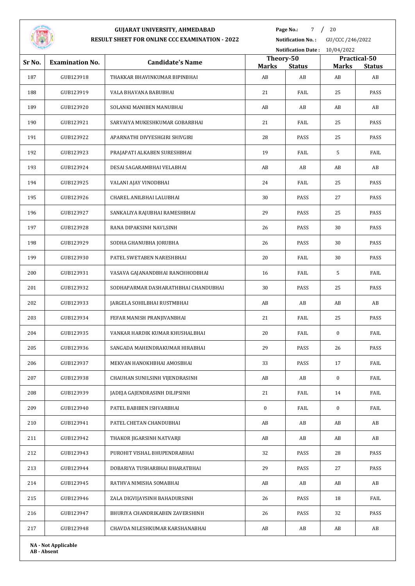

**Page No.:** / 20

**Notification No. :** GU/CCC /246/2022

| Notification Date: 10/04/2022 |                            |                                      |                    |                     |                    |                     |
|-------------------------------|----------------------------|--------------------------------------|--------------------|---------------------|--------------------|---------------------|
| Sr No.                        | <b>Examination No.</b>     | <b>Candidate's Name</b>              | Theory-50          |                     | Practical-50       |                     |
| 187                           | GUB123918                  | THAKKAR BHAVINKUMAR BIPINBHAI        | <b>Marks</b><br>AB | <b>Status</b><br>AB | <b>Marks</b><br>AB | <b>Status</b><br>AB |
| 188                           | GUB123919                  | VALA BHAVANA BABUBHAI                | 21                 | FAIL                | 25                 | PASS                |
| 189                           | GUB123920                  | SOLANKI MANIBEN MANUBHAI             | AB                 | AB                  | AB                 | AB                  |
| 190                           | GUB123921                  | SARVAIYA MUKESHKUMAR GOBARBHAI       | 21                 | FAIL                | 25                 | PASS                |
| 191                           | GUB123922                  | APARNATHI DIVYESHGIRI SHIVGIRI       | 28                 | PASS                | 25                 | PASS                |
| 192                           | GUB123923                  | PRAJAPATI ALKABEN SURESHBHAI         | 19                 | FAIL                | 5                  | FAIL                |
| 193                           | GUB123924                  | DESAI SAGARAMBHAI VELABHAI           | AB                 | AB                  | AB                 | AB                  |
| 194                           | GUB123925                  | VALANI AJAY VINODBHAI                | 24                 | FAIL                | 25                 | PASS                |
| 195                           | GUB123926                  | CHAREL ANILBHAI LALUBHAI             | 30                 | PASS                | 27                 | PASS                |
| 196                           | GUB123927                  | SANKALIYA RAJUBHAI RAMESHBHAI        | 29                 | PASS                | 25                 | PASS                |
| 197                           | GUB123928                  | RANA DIPAKSINH NAVLSINH              | 26                 | PASS                | 30                 | PASS                |
| 198                           | GUB123929                  | SODHA GHANUBHA JORUBHA               | 26                 | PASS                | 30                 | PASS                |
| 199                           | GUB123930                  | PATEL SWETABEN NARESHBHAI            | 20                 | FAIL                | 30                 | PASS                |
| 200                           | GUB123931                  | VASAVA GAJANANDBHAI RANCHHODBHAI     | 16                 | FAIL                | 5                  | FAIL                |
| 201                           | GUB123932                  | SODHAPARMAR DASHARATHBHAI CHANDUBHAI | 30                 | PASS                | 25                 | PASS                |
| 202                           | GUB123933                  | JARGELA SOHILBHAI RUSTMBHAI          | AB                 | AB                  | AB                 | AB                  |
| 203                           | GUB123934                  | FEFAR MANISH PRANJIVANBHAI           | 21                 | FAIL                | 25                 | PASS                |
| 204                           | GUB123935                  | VANKAR HARDIK KUMAR KHUSHALBHAI      | 20                 | FAIL                | $\bf{0}$           | FAIL                |
| 205                           | GUB123936                  | SANGADA MAHENDRAKUMAR HIRABHAI       | 29                 | PASS                | 26                 | PASS                |
| 206                           | GUB123937                  | MEKVAN HANOKHBHAI AMOSBHAI           | 33                 | PASS                | 17                 | FAIL                |
| 207                           | GUB123938                  | CHAUHAN SUNILSINH VIJENDRASINH       | AB                 | AB                  | $\boldsymbol{0}$   | FAIL                |
| 208                           | GUB123939                  | JADEJA GAJENDRASINH DILIPSINH        | 21                 | FAIL                | 14                 | FAIL                |
| 209                           | GUB123940                  | PATEL BABIBEN ISHVARBHAI             | $\bf{0}$           | FAIL                | $\bf{0}$           | FAIL                |
| 210                           | GUB123941                  | PATEL CHETAN CHANDUBHAI              | AB                 | AB                  | AB                 | AB                  |
| 211                           | GUB123942                  | THAKOR JIGARSINH NATVARJI            | AB                 | AB                  | AB                 | AB                  |
| 212                           | GUB123943                  | PUROHIT VISHAL BHUPENDRABHAI         | 32                 | PASS                | 28                 | PASS                |
| 213                           | GUB123944                  | DOBARIYA TUSHARBHAI BHARATBHAI       | 29                 | PASS                | 27                 | PASS                |
| 214                           | GUB123945                  | RATHVA NIMISHA SOMABHAI              | AB                 | AB                  | AB                 | AB                  |
| 215                           | GUB123946                  | ZALA DIGVIJAYSINH BAHADURSINH        | 26                 | PASS                | 18                 | FAIL                |
| 216                           | GUB123947                  | BHURIYA CHANDRIKABEN ZAVERSHINH      | 26                 | PASS                | 32                 | PASS                |
| 217                           | GUB123948                  | CHAVDA NILESHKUMAR KARSHANABHAI      | AB                 | AB                  | AB                 | AB                  |
|                               | <b>NA - Not Applicable</b> |                                      |                    |                     |                    |                     |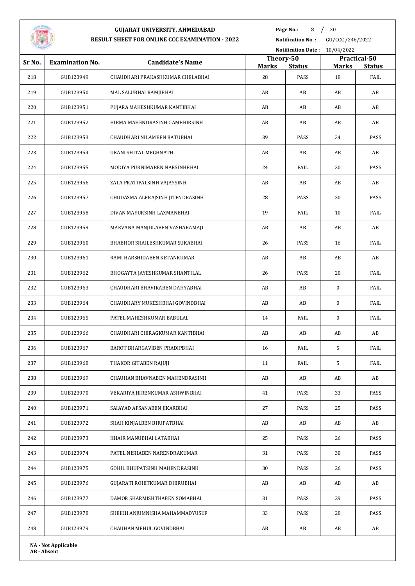

**Page No.:** 8 / 20

**Notification No. :** GU/CCC /246/2022

| Notification Date: 10/04/2022 |                        |                                  |                           |               |                                               |      |  |
|-------------------------------|------------------------|----------------------------------|---------------------------|---------------|-----------------------------------------------|------|--|
| Sr No.                        | <b>Examination No.</b> | <b>Candidate's Name</b>          | Theory-50<br><b>Marks</b> | <b>Status</b> | Practical-50<br><b>Marks</b><br><b>Status</b> |      |  |
| 218                           | GUB123949              | CHAUDHARI PRAKASHKUMAR CHELABHAI | 28                        | PASS          | 18                                            | FAIL |  |
| 219                           | GUB123950              | MAL SALUBHAI RAMJIBHAI           | AB                        | AB            | AB                                            | AB   |  |
| 220                           | GUB123951              | PUJARA MAHESHKUMAR KANTIBHAI     | AB                        | AB            | AB                                            | AB   |  |
| 221                           | GUB123952              | HIRMA MAHENDRASINH GAMBHIRSINH   | AB                        | AB            | AB                                            | AB   |  |
| 222                           | GUB123953              | CHAUDHARI NILAMBEN RATUBHAI      | 39                        | PASS          | 34                                            | PASS |  |
| 223                           | GUB123954              | UKANI SHITAL MEGHNATH            | AB                        | AB            | AB                                            | AB   |  |
| 224                           | GUB123955              | MODIYA PURNIMABEN NARSINHBHAI    | 24                        | FAIL          | 30                                            | PASS |  |
| 225                           | GUB123956              | ZALA PRATIPALSINH VAJAYSINH      | AB                        | AB            | AB                                            | AB   |  |
| 226                           | GUB123957              | CHUDASMA ALPRAJSINH JITENDRASINH | 28                        | PASS          | 30                                            | PASS |  |
| 227                           | GUB123958              | DIVAN MAYURSINH LAXMANBHAI       | 19                        | FAIL          | 10                                            | FAIL |  |
| 228                           | GUB123959              | MAKVANA MANJULABEN VASHARAMAJI   | AB                        | AB            | AB                                            | AB   |  |
| 229                           | GUB123960              | BHABHOR SHAILESHKUMAR SUKABHAI   | 26                        | PASS          | 16                                            | FAIL |  |
| 230                           | GUB123961              | RAMI HARSHIDABEN KETANKUMAR      | AB                        | AB            | AB                                            | AB   |  |
| 231                           | GUB123962              | BHOGAYTA JAYESHKUMAR SHANTILAL   | 26                        | PASS          | 20                                            | FAIL |  |
| 232                           | GUB123963              | CHAUDHARI BHAVIKABEN DAHYABHAI   | AB                        | AB            | $\bf{0}$                                      | FAIL |  |
| 233                           | GUB123964              | CHAUDHARY MUKESHBHAI GOVINDBHAI  | AB                        | AB            | 0                                             | FAIL |  |
| 234                           | GUB123965              | PATEL MAHESHKUMAR BABULAL        | 14                        | FAIL          | 0                                             | FAIL |  |
| 235                           | GUB123966              | CHAUDHARI CHIRAGKUMAR KANTIBHAI  | AB                        | AB            | AB                                            | AB   |  |
| 236                           | GUB123967              | BAROT BHARGAVIBEN PRADIPBHAI     | 16                        | FAIL          | 5                                             | FAIL |  |
| 237                           | GUB123968              | THAKOR GITABEN RAJUJI            | 11                        | FAIL          | 5                                             | FAIL |  |
| 238                           | GUB123969              | CHAUHAN BHAVNABEN MAHENDRASINH   | AB                        | AB            | AB                                            | AB   |  |
| 239                           | GUB123970              | VEKARIYA HIRENKUMAR ASHWINBHAI   | 41                        | PASS          | 33                                            | PASS |  |
| 240                           | GUB123971              | SAIAYAD AFSANABEN JIKARBHAI      | 27                        | PASS          | 25                                            | PASS |  |
| 241                           | GUB123972              | SHAH KINJALBEN BHUPATBHAI        | AB                        | AB            | AB                                            | AB   |  |
| 242                           | GUB123973              | KHAIR MANUBHAI LATABHAI          | 25                        | PASS          | 26                                            | PASS |  |
| 243                           | GUB123974              | PATEL NISHABEN NARENDRAKUMAR     | 31                        | PASS          | 30                                            | PASS |  |
| 244                           | GUB123975              | GOHIL BHUPATSINH MAHENDRASINH    | 30                        | PASS          | 26                                            | PASS |  |
| 245                           | GUB123976              | GUJARATI ROHITKUMAR DHIRUBHAI    | AB                        | AB            | AB                                            | AB   |  |
| 246                           | GUB123977              | DAMOR SHARMISHTHABEN SOMABHAI    | 31                        | PASS          | 29                                            | PASS |  |
| 247                           | GUB123978              | SHEIKH ANJUMNISHA MAHAMMADYUSUF  | 33                        | PASS          | 28                                            | PASS |  |
| 248                           | GUB123979              | CHAUHAN MEHUL GOVINDBHAI         | AB                        | AB            | AB                                            | AB   |  |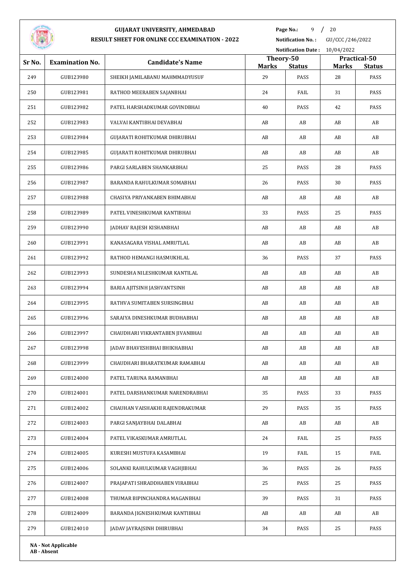

**Page No.:** / 20

**Notification No. :** GU/CCC /246/2022

| Notification Date: 10/04/2022 |                            |                                 |                    |                       |                    |                       |
|-------------------------------|----------------------------|---------------------------------|--------------------|-----------------------|--------------------|-----------------------|
| Sr No.                        | <b>Examination No.</b>     | <b>Candidate's Name</b>         | Theory-50          |                       |                    | Practical-50          |
| 249                           | GUB123980                  | SHEIKH JAMILABANU MAHMMADYUSUF  | <b>Marks</b><br>29 | <b>Status</b><br>PASS | <b>Marks</b><br>28 | <b>Status</b><br>PASS |
| 250                           | GUB123981                  | RATHOD MEERABEN SAJANBHAI       | 24                 | FAIL                  | 31                 | PASS                  |
| 251                           | GUB123982                  | PATEL HARSHADKUMAR GOVINDBHAI   | 40                 | PASS                  | 42                 | PASS                  |
|                               |                            |                                 |                    |                       |                    |                       |
| 252                           | GUB123983                  | VALVAI KANTIBHAI DEVABHAI       | AB                 | AB                    | AB                 | AB                    |
| 253                           | GUB123984                  | GUJARATI ROHITKUMAR DHIRUBHAI   | AB                 | AB                    | AB                 | AB                    |
| 254                           | GUB123985                  | GUJARATI ROHITKUMAR DHIRUBHAI   | AB                 | AB                    | AB                 | AB                    |
| 255                           | GUB123986                  | PARGI SARLABEN SHANKARBHAI      | 25                 | PASS                  | 28                 | PASS                  |
| 256                           | GUB123987                  | BARANDA RAHULKUMAR SOMABHAI     | 26                 | PASS                  | 30                 | PASS                  |
| 257                           | GUB123988                  | CHASIYA PRIYANKABEN BHIMABHAI   | AB                 | AB                    | AB                 | AB                    |
| 258                           | GUB123989                  | PATEL VINESHKUMAR KANTIBHAI     | 33                 | PASS                  | 25                 | PASS                  |
| 259                           | GUB123990                  | JADHAV RAJESH KISHANBHAI        | AB                 | AB                    | AB                 | AB                    |
| 260                           | GUB123991                  | KANASAGARA VISHAL AMRUTLAL      | AB                 | AB                    | AB                 | AB                    |
| 261                           | GUB123992                  | RATHOD HEMANGI HASMUKHLAL       | 36                 | PASS                  | 37                 | PASS                  |
| 262                           | GUB123993                  | SUNDESHA NILESHKUMAR KANTILAL   | AB                 | AB                    | AB                 | AB                    |
| 263                           | GUB123994                  | BARIA AJITSINH JASHVANTSINH     | AB                 | AB                    | AB                 | AB                    |
| 264                           | GUB123995                  | RATHVA SUMITABEN SURSINGBHAI    | AB                 | AB                    | AB                 | AB                    |
| 265                           | GUB123996                  | SARAIYA DINESHKUMAR BUDHABHAI   | AB                 | AB                    | AB                 | AB                    |
| 266                           | GUB123997                  | CHAUDHARI VIKRANTABEN JIVANBHAI | AB                 | AB                    | AB                 | AB                    |
| 267                           | GUB123998                  | JADAV BHAVESHBHAI BHIKHABHAI    | AB                 | AB                    | AB                 | AB                    |
| 268                           | GUB123999                  | CHAUDHARI BHARATKUMAR RAMABHAI  | AB                 | AB                    | AB                 | AB                    |
| 269                           | GUB124000                  | PATEL TARUNA RAMANBHAI          | AB                 | AB                    | AB                 | AB                    |
| 270                           | GUB124001                  | PATEL DARSHANKUMAR NARENDRABHAI | 35                 | PASS                  | 33                 | PASS                  |
| 271                           | GUB124002                  | CHAUHAN VAISHAKHI RAJENDRAKUMAR | 29                 | PASS                  | 35                 | PASS                  |
| 272                           | GUB124003                  | PARGI SANJAYBHAI DALABHAI       | AB                 | AB                    | AB                 | AB                    |
| 273                           | GUB124004                  | PATEL VIKASKUMAR AMRUTLAL       | 24                 | FAIL                  | 25                 | PASS                  |
| 274                           | GUB124005                  | KURESHI MUSTUFA KASAMBHAI       | 19                 | FAIL                  | 15                 | FAIL                  |
| 275                           | GUB124006                  | SOLANKI RAHULKUMAR VAGHJIBHAI   | 36                 | PASS                  | 26                 | PASS                  |
| 276                           | GUB124007                  | PRAJAPATI SHRADDHABEN VIRABHAI  | 25                 | PASS                  | 25                 | PASS                  |
| 277                           | GUB124008                  | THUMAR BIPINCHANDRA MAGANBHAI   | 39                 | PASS                  | 31                 | PASS                  |
| 278                           | GUB124009                  | BARANDA JIGNESHKUMAR KANTIBHAI  | AB                 | AB                    | AB                 | AB                    |
| 279                           | GUB124010                  | JADAV JAYRAJSINH DHIRUBHAI      | 34                 | PASS                  | 25                 | PASS                  |
|                               | <b>NA - Not Applicable</b> |                                 |                    |                       |                    |                       |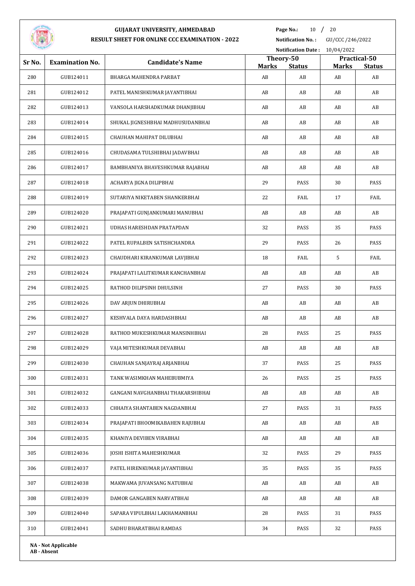

**Page No.:** 10 / 20

**Notification No. :** GU/CCC /246/2022

|        |                        |                                   |                           | Notification Date: 10/04/2022 |              |                               |  |
|--------|------------------------|-----------------------------------|---------------------------|-------------------------------|--------------|-------------------------------|--|
| Sr No. | <b>Examination No.</b> | <b>Candidate's Name</b>           | Theory-50<br><b>Marks</b> | <b>Status</b>                 | <b>Marks</b> | Practical-50<br><b>Status</b> |  |
| 280    | GUB124011              | BHARGA MAHENDRA PARBAT            | AB                        | AB                            | AB           | AB                            |  |
| 281    | GUB124012              | PATEL MANISHKUMAR JAYANTIBHAI     | AB                        | AB                            | AB           | AB                            |  |
| 282    | GUB124013              | VANSOLA HARSHADKUMAR DHANJIBHAI   | AB                        | AB                            | AB           | AB                            |  |
| 283    | GUB124014              | SHUKAL JIGNESHBHAI MADHUSUDANBHAI | AB                        | AB                            | AB           | AB                            |  |
| 284    | GUB124015              | CHAUHAN MAHIPAT DILUBHAI          | AB                        | AB                            | AB           | AB                            |  |
| 285    | GUB124016              | CHUDASAMA TULSHIBHAI JADAVBHAI    | AB                        | AB                            | AB           | AB                            |  |
| 286    | GUB124017              | BAMBHANIYA BHAVESHKUMAR RAJABHAI  | AB                        | AB                            | AB           | AB                            |  |
| 287    | GUB124018              | ACHARYA JIGNA DILIPBHAI           | 29                        | PASS                          | 30           | PASS                          |  |
| 288    | GUB124019              | SUTARIYA NIKETABEN SHANKERBHAI    | 22                        | FAIL                          | 17           | FAIL                          |  |
| 289    | GUB124020              | PRAJAPATI GUNJANKUMARI MANUBHAI   | AB                        | AB                            | AB           | AB                            |  |
| 290    | GUB124021              | UDHAS HARESHDAN PRATAPDAN         | 32                        | PASS                          | 35           | PASS                          |  |
| 291    | GUB124022              | PATEL RUPALBEN SATISHCHANDRA      | 29                        | PASS                          | 26           | PASS                          |  |
| 292    | GUB124023              | CHAUDHARI KIRANKUMAR LAVJIBHAI    | 18                        | FAIL                          | 5            | FAIL                          |  |
| 293    | GUB124024              | PRAJAPATI LALITKUMAR KANCHANBHAI  | AB                        | AB                            | AB           | AB                            |  |
| 294    | GUB124025              | RATHOD DILIPSINH DHULSINH         | 27                        | PASS                          | 30           | PASS                          |  |
| 295    | GUB124026              | DAV ARJUN DHIRUBHAI               | AB                        | AB                            | AB           | AB                            |  |
| 296    | GUB124027              | KESHVALA DAYA HARDASHBHAI         | AB                        | AB                            | AB           | AB                            |  |
| 297    | GUB124028              | RATHOD MUKESHKUMAR MANSINHBHAI    | 28                        | PASS                          | 25           | PASS                          |  |
| 298    | GUB124029              | VAJA MITESHKUMAR DEVABHAI         | AB                        | AB                            | AB           | AB                            |  |
| 299    | GUB124030              | CHAUHAN SANJAYRAJ ARJANBHAI       | 37                        | PASS                          | 25           | PASS                          |  |
| 300    | GUB124031              | TANK WASIMKHAN MAHEBUBMIYA        | 26                        | PASS                          | 25           | PASS                          |  |
| 301    | GUB124032              | GANGANI NAVGHANBHAI THAKARSHIBHAI | AB                        | AB                            | AB           | AB                            |  |
| 302    | GUB124033              | CHHAIYA SHANTABEN NAGDANBHAI      | 27                        | PASS                          | 31           | PASS                          |  |
| 303    | GUB124034              | PRAJAPATI BHOOMIKABAHEN RAJUBHAI  | AB                        | AB                            | AB           | AB                            |  |
| 304    | GUB124035              | KHANIYA DEVIBEN VIRABHAI          | AB                        | AB                            | AB           | AB                            |  |
| 305    | GUB124036              | JOSHI ISHITA MAHESHKUMAR          | 32                        | PASS                          | 29           | PASS                          |  |
| 306    | GUB124037              | PATEL HIRENKUMAR JAYANTIBHAI      | 35                        | PASS                          | 35           | PASS                          |  |
| 307    | GUB124038              | MAKWAMA JUVANSANG NATUBHAI        | AB                        | AB                            | AB           | AB                            |  |
| 308    | GUB124039              | DAMOR GANGABEN NARVATBHAI         | AB                        | AB                            | AB           | AB                            |  |
| 309    | GUB124040              | SAPARA VIPULBHAI LAKHAMANBHAI     | 28                        | PASS                          | 31           | PASS                          |  |
| 310    | GUB124041              | SADHU BHARATBHAI RAMDAS           | 34                        | PASS                          | 32           | PASS                          |  |
|        |                        |                                   |                           |                               |              |                               |  |

**NA - Not Applicable AB - Absent**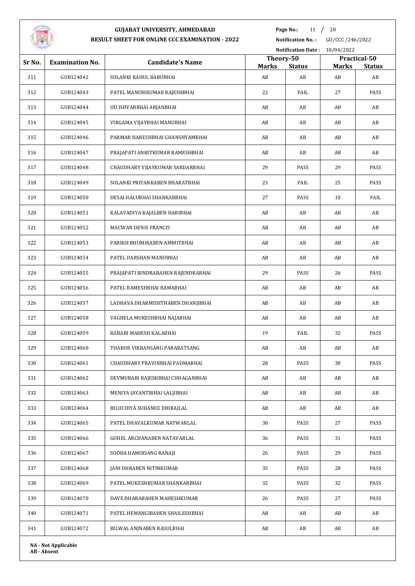

**Page No.:** 11 / 20

|        |                            |                                    | Notification Date: 10/04/2022 |                     |                                               |      |  |
|--------|----------------------------|------------------------------------|-------------------------------|---------------------|-----------------------------------------------|------|--|
| Sr No. | <b>Examination No.</b>     | <b>Candidate's Name</b>            | Theory-50                     |                     | Practical-50<br><b>Marks</b><br><b>Status</b> |      |  |
| 311    | GUB124042                  | SOLANKI RAHUL BABUBHAI             | <b>Marks</b><br>AB            | <b>Status</b><br>AB | AB                                            | AB   |  |
| 312    | GUB124043                  | PATEL MANISHKUMAR RAJESHBHAI       | 22                            | FAIL                | 27                                            | PASS |  |
| 313    | GUB124044                  | OD ISHVARBHAI ARJANBHAI            | AB                            | AB                  | AB                                            | AB   |  |
| 314    | GUB124045                  | VIRGAMA VIJAYBHAI MANUBHAI         | AB                            | AB                  | AB                                            | AB   |  |
| 315    | GUB124046                  | PARMAR HARESHBHAI GHANSHYAMBHAI    | AB                            | AB                  | AB                                            | AB   |  |
| 316    | GUB124047                  | PRAJAPATI ANKITKUMAR RAMESHBHAI    | AB                            | AB                  | AB                                            | AB   |  |
| 317    | GUB124048                  | CHAUDHARY VIJAYKUMAR SARDARBHAI    | 29                            | PASS                | 29                                            | PASS |  |
| 318    | GUB124049                  | SOLANKI PRIYANKABEN BHARATBHAI     | 23                            | FAIL                | 25                                            | PASS |  |
| 319    | GUB124050                  | DESAI HALUBHAI SHANKARBHAI         | 27                            | PASS                | 10                                            | FAIL |  |
| 320    | GUB124051                  | KALAVADIYA KAJALBEN HARIBHAI       | AB                            | AB                  | AB                                            | AB   |  |
| 321    | GUB124052                  | <b>MACWAN DENIS FRANCIS</b>        | AB                            | AB                  | AB                                            | AB   |  |
| 322    | GUB124053                  | PARIKH BHUMIKABEN AMRUTBHAI        | AB                            | AB                  | AB                                            | AB   |  |
| 323    | GUB124054                  | PATEL DARSHAN MANUBHAI             | AB                            | AB                  | AB                                            | AB   |  |
| 324    | GUB124055                  | PRAJAPATI BINDRABAHEN RAJENDRABHAI | 29                            | PASS                | 26                                            | PASS |  |
| 325    | GUB124056                  | PATEL RAMESHBHAI RAMABHAI          | AB                            | AB                  | AB                                            | AB   |  |
| 326    | GUB124057                  | LADHAVA DHARMISHTHABEN DHANJIBHAI  | AB                            | AB                  | AB                                            | AB   |  |
| 327    | GUB124058                  | VAGHELA MUKESHBHAI NAJABHAI        | AB                            | AB                  | AB                                            | AB   |  |
| 328    | GUB124059                  | RABARI MAHESH KALABHAI             | 19                            | FAIL                | 32                                            | PASS |  |
| 329    | GUB124060                  | THAKOR VIKRANSANG PARABATSANG      | AB                            | AB                  | AB                                            | AB   |  |
| 330    | GUB124061                  | CHAUDHARY PRAVINBHAI PADMABHAI     | 28                            | PASS                | 30                                            | PASS |  |
| 331    | GUB124062                  | DEVMURARI RAJESHBHAI CHHAGANBHAI   | AB                            | AB                  | AB                                            | AB   |  |
| 332    | GUB124063                  | MENIYA JAYANTIBHAI LALJIBHAI       | AB                            | AB                  | AB                                            | AB   |  |
| 333    | GUB124064                  | BILOCHIYA SUHANEE DHIRAJLAL        | AB                            | AB                  | AB                                            | AB   |  |
| 334    | GUB124065                  | PATEL DHAVALKUMAR NATWARLAL        | 30                            | PASS                | 27                                            | PASS |  |
| 335    | GUB124066                  | GOHEL ARCHANABEN NATAVARLAL        | 36                            | PASS                | 31                                            | PASS |  |
| 336    | GUB124067                  | SODHA HAMIRSANG RANAJI             | 26                            | PASS                | 29                                            | PASS |  |
| 337    | GUB124068                  | JANI DHRABEN NITINKUMAR            | 35                            | PASS                | 28                                            | PASS |  |
| 338    | GUB124069                  | PATEL MUKESHKUMAR SHANKARBHAI      | 32                            | PASS                | 32                                            | PASS |  |
| 339    | GUB124070                  | DAVE DHARABAHEN MAHESHKUMAR        | 26                            | PASS                | 27                                            | PASS |  |
| 340    | GUB124071                  | PATEL HEMANGIBAHEN SHAILESHBHAI    | AB                            | AB                  | AB                                            | AB   |  |
| 341    | GUB124072                  | BILWAL ANJNABEN RASULBHAI          | AB                            | AB                  | AB                                            | AB   |  |
|        | <b>NA - Not Applicable</b> |                                    |                               |                     |                                               |      |  |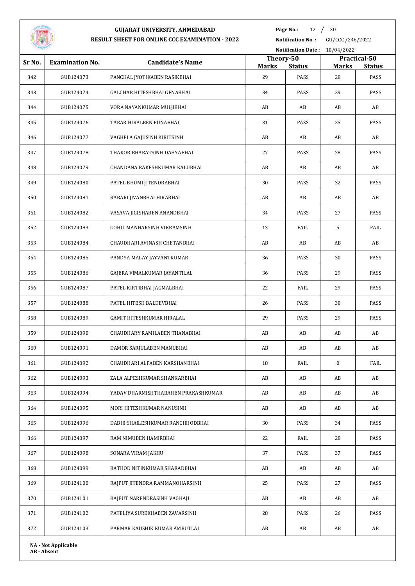

**Page No.:** 12 / 20

**Notification No. :** GU/CCC /246/2022

| Notification Date: 10/04/2022 |                            |                                     |                    |                       |                  |                                               |  |
|-------------------------------|----------------------------|-------------------------------------|--------------------|-----------------------|------------------|-----------------------------------------------|--|
| Sr No.                        | <b>Examination No.</b>     | <b>Candidate's Name</b>             |                    | Theory-50             |                  | Practical-50<br><b>Marks</b><br><b>Status</b> |  |
| 342                           | GUB124073                  | PANCHAL JYOTIKABEN RASIKBHAI        | <b>Marks</b><br>29 | <b>Status</b><br>PASS | 28               | PASS                                          |  |
| 343                           | GUB124074                  | GALCHAR HITESHBHAI GENABHAI         | 34                 | PASS                  | 29               | PASS                                          |  |
| 344                           | GUB124075                  | VORA NAYANKUMAR MULJIBHAI           | AB                 | AB                    | AB               | AB                                            |  |
| 345                           | GUB124076                  | TARAR HIRALBEN PUNABHAI             | 31                 | PASS                  | 25               | PASS                                          |  |
| 346                           | GUB124077                  | VAGHELA GAJUSINH KIRITSINH          | AB                 | AB                    | AB               | AB                                            |  |
| 347                           | GUB124078                  | THAKOR BHARATSINH DAHYABHAI         | 27                 | PASS                  | 28               | PASS                                          |  |
| 348                           | GUB124079                  | CHANDANA RAKESHKUMAR KALUBHAI       | AB                 | AB                    | AB               | AB                                            |  |
| 349                           | GUB124080                  | PATEL BHUMI JITENDRABHAI            | 30                 | PASS                  | 32               | PASS                                          |  |
| 350                           | GUB124081                  | RABARI JIVANBHAI HIRABHAI           | AB                 | AB                    | AB               | AB                                            |  |
| 351                           | GUB124082                  | VASAVA JIGISHABEN ANANDBHAI         | 34                 | PASS                  | 27               | PASS                                          |  |
| 352                           | GUB124083                  | GOHIL MANHARSINH VIKRAMSINH         | 13                 | FAIL                  | 5                | FAIL                                          |  |
| 353                           | GUB124084                  | CHAUDHARI AVINASH CHETANBHAI        | AB                 | AB                    | AB               | AB                                            |  |
| 354                           | GUB124085                  | PANDYA MALAY JAYVANTKUMAR           | 36                 | PASS                  | 30               | PASS                                          |  |
| 355                           | GUB124086                  | GAJERA VIMALKUMAR JAYANTILAL        | 36                 | PASS                  | 29               | PASS                                          |  |
| 356                           | GUB124087                  | PATEL KIRTIBHAI JAGMALBHAI          | 22                 | FAIL                  | 29               | PASS                                          |  |
| 357                           | GUB124088                  | PATEL HITESH BALDEVBHAI             | 26                 | PASS                  | 30               | PASS                                          |  |
| 358                           | GUB124089                  | GAMIT HITESHKUMAR HIRALAL           | 29                 | PASS                  | 29               | PASS                                          |  |
| 359                           | GUB124090                  | CHAUDHARY RAMILABEN THANABHAI       | AB                 | AB                    | AB               | AB                                            |  |
| 360                           | GUB124091                  | DAMOR SARJULABEN MANUBHAI           | AB                 | AB                    | AB               | AB                                            |  |
| 361                           | GUB124092                  | CHAUDHARI ALPABEN KARSHANBHAI       | 18                 | FAIL                  | $\boldsymbol{0}$ | FAIL                                          |  |
| 362                           | GUB124093                  | ZALA ALPESHKUMAR SHANKARBHAI        | AB                 | AB                    | AB               | AB                                            |  |
| 363                           | GUB124094                  | YADAV DHARMISHTHABAHEN PRAKASHKUMAR | AB                 | AB                    | AB               | AB                                            |  |
| 364                           | GUB124095                  | MORI HITESHKUMAR NANUSINH           | AB                 | AB                    | AB               | AB                                            |  |
| 365                           | GUB124096                  | DABHI SHAILESHKUMAR RANCHHODBHAI    | 30                 | PASS                  | 34               | PASS                                          |  |
| 366                           | GUB124097                  | RAM NIMUBEN HAMIRBHAI               | 22                 | FAIL                  | 28               | PASS                                          |  |
| 367                           | GUB124098                  | SONARA VIRAM JAKHU                  | 37                 | PASS                  | 37               | PASS                                          |  |
| 368                           | GUB124099                  | RATHOD NITINKUMAR SHARADBHAI        | AB                 | AB                    | AB               | AB                                            |  |
| 369                           | GUB124100                  | RAJPUT JITENDRA RAMMANOHARSINH      | 25                 | PASS                  | 27               | PASS                                          |  |
| 370                           | GUB124101                  | RAJPUT NARENDRASINH VAGHAJI         | AB                 | AB                    | AB               | AB                                            |  |
| 371                           | GUB124102                  | PATELIYA SUREKHABEN ZAVARSINH       | 28                 | PASS                  | 26               | PASS                                          |  |
| 372                           | GUB124103                  | PARMAR KAUSHIK KUMAR AMRUTLAL       | AB                 | AB                    | AB               | AB                                            |  |
|                               | <b>NA - Not Applicable</b> |                                     |                    |                       |                  |                                               |  |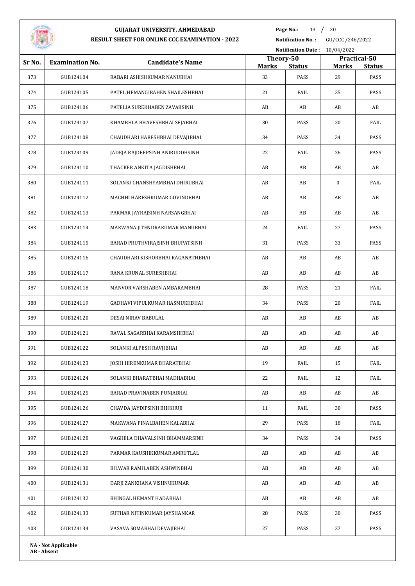

**Page No.:** 13 / 20

**Notification No. :** GU/CCC /246/2022

|        |                            |                                   |                    |                       | Notification Date: 10/04/2022 |                       |  |  |
|--------|----------------------------|-----------------------------------|--------------------|-----------------------|-------------------------------|-----------------------|--|--|
| Sr No. | <b>Examination No.</b>     | <b>Candidate's Name</b>           | Theory-50          |                       |                               | Practical-50          |  |  |
| 373    | GUB124104                  | RABARI ASHISHKUMAR NANUBHAI       | <b>Marks</b><br>33 | <b>Status</b><br>PASS | <b>Marks</b><br>29            | <b>Status</b><br>PASS |  |  |
| 374    | GUB124105                  | PATEL HEMANGIBAHEN SHAILESHBHAI   | 21                 | FAIL                  | 25                            | PASS                  |  |  |
| 375    | GUB124106                  | PATELIA SUREKHABEN ZAVARSINH      | AB                 | AB                    | AB                            | AB                    |  |  |
| 376    | GUB124107                  | KHAMBHLA BHAVESHBHAI SEJABHAI     | 30                 | PASS                  | 20                            | FAIL                  |  |  |
| 377    | GUB124108                  | CHAUDHARI HARESHBHAI DEVAJIBHAI   | 34                 | PASS                  | 34                            | PASS                  |  |  |
| 378    | GUB124109                  | JADEJA RAJDEEPSINH ANIRUDDHSINH   | 22                 | FAIL                  | 26                            | PASS                  |  |  |
|        |                            |                                   |                    |                       |                               |                       |  |  |
| 379    | GUB124110                  | THACKER ANKITA JAGDISHBHAI        | AB                 | AB                    | AB                            | AB                    |  |  |
| 380    | GUB124111                  | SOLANKI GHANSHYAMBHAI DHIRUBHAI   | AB                 | AB                    | 0                             | FAIL                  |  |  |
| 381    | GUB124112                  | MACHHI HARESHKUMAR GOVINDBHAI     | AB                 | AB                    | AB                            | AB                    |  |  |
| 382    | GUB124113                  | PARMAR JAYRAJSINH NARSANGBHAI     | AB                 | AB                    | AB                            | AB                    |  |  |
| 383    | GUB124114                  | MAKWANA JITENDRAKUMAR MANUBHAI    | 24                 | FAIL                  | 27                            | PASS                  |  |  |
| 384    | GUB124115                  | BARAD PRUTHVIRAJSINH BHUPATSINH   | 31                 | PASS                  | 33                            | PASS                  |  |  |
| 385    | GUB124116                  | CHAUDHARI KISHORBHAI RAGANATHBHAI | AB                 | AB                    | AB                            | AB                    |  |  |
| 386    | GUB124117                  | RANA KRUNAL SURESHBHAI            | AB                 | AB                    | AB                            | AB                    |  |  |
| 387    | GUB124118                  | MANVOR VARSHABEN AMBARAMBHAI      | 28                 | PASS                  | 21                            | FAIL                  |  |  |
| 388    | GUB124119                  | GADHAVI VIPULKUMAR HASMUKHBHAI    | 34                 | PASS                  | 20                            | FAIL                  |  |  |
| 389    | GUB124120                  | DESAI NIRAV BABULAL               | AB                 | AB                    | AB                            | AB                    |  |  |
| 390    | GUB124121                  | RAVAL SAGARBHAI KARAMSHIBHAI      | AB                 | AB                    | AB                            | AB                    |  |  |
| 391    | GUB124122                  | SOLANKI ALPESH RAVJIBHAI          | AB                 | AB                    | AB                            | AB                    |  |  |
| 392    | GUB124123                  | JOSHI HIRENKUMAR BHARATBHAI       | 19                 | FAIL                  | 15                            | FAIL                  |  |  |
| 393    | GUB124124                  | SOLANKI BHARATBHAI MADHABHAI      | 22                 | FAIL                  | 12                            | FAIL                  |  |  |
| 394    | GUB124125                  | BARAD PRAVINABEN PUNJABHAI        | AB                 | AB                    | AB                            | AB                    |  |  |
| 395    | GUB124126                  | CHAVDA JAYDIPSINH BHIKHUJI        | 11                 | FAIL                  | 30                            | PASS                  |  |  |
| 396    | GUB124127                  | MAKWANA PINALBAHEN KALABHAI       | 29                 | PASS                  | 18                            | FAIL                  |  |  |
| 397    | GUB124128                  | VAGHELA DHAVALSINH BHAMMARSINH    | 34                 | PASS                  | 34                            | PASS                  |  |  |
| 398    | GUB124129                  | PARMAR KAUSHIKKUMAR AMRUTLAL      | AB                 | AB                    | AB                            | AB                    |  |  |
| 399    | GUB124130                  | BILWAR RAMILABEN ASHWINBHAI       | AB                 | AB                    | AB                            | AB                    |  |  |
| 400    | GUB124131                  | DARJI ZANKHANA VISHNUKUMAR        | AB                 | AB                    | AB                            | AB                    |  |  |
| 401    | GUB124132                  | BHINGAL HEMANT HADABHAI           | AB                 | AB                    | AB                            | AB                    |  |  |
| 402    | GUB124133                  | SUTHAR NITINKUMAR JAYSHANKAR      | 28                 | PASS                  | 30                            | PASS                  |  |  |
| 403    | GUB124134                  | VASAVA SOMABHAI DEVAJIBHAI        | 27                 | PASS                  | 27                            | PASS                  |  |  |
|        |                            |                                   |                    |                       |                               |                       |  |  |
|        | <b>NA - Not Applicable</b> |                                   |                    |                       |                               |                       |  |  |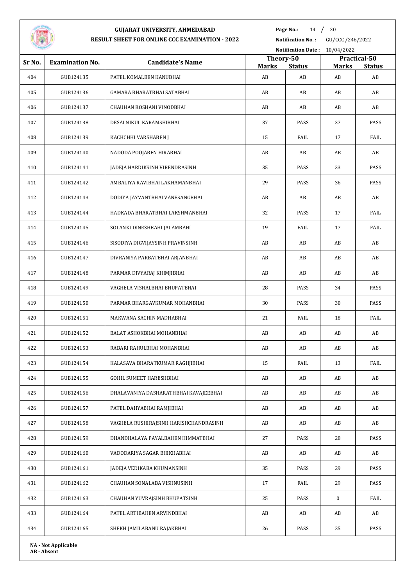

**Page No.:** 14 / 20

**Notification No. :** GU/CCC /246/2022

|        |                            |                                        |                           |               | Notification Date: 10/04/2022 |                               |  |  |
|--------|----------------------------|----------------------------------------|---------------------------|---------------|-------------------------------|-------------------------------|--|--|
| Sr No. | <b>Examination No.</b>     | <b>Candidate's Name</b>                | Theory-50<br><b>Marks</b> | <b>Status</b> | <b>Marks</b>                  | Practical-50<br><b>Status</b> |  |  |
| 404    | GUB124135                  | PATEL KOMALBEN KANUBHAI                | AB                        | AB            | AB                            | AB                            |  |  |
| 405    | GUB124136                  | GAMARA BHARATBHAI SATABHAI             | AB                        | AB            | AB                            | AB                            |  |  |
| 406    | GUB124137                  | CHAUHAN ROSHANI VINODBHAI              | AB                        | AB            | AB                            | AB                            |  |  |
| 407    | GUB124138                  | DESAI NIKUL KARAMSHIBHAI               | 37                        | PASS          | 37                            | PASS                          |  |  |
| 408    | GUB124139                  | KACHCHHI VARSHABEN J                   | 15                        | FAIL          | 17                            | FAIL                          |  |  |
| 409    | GUB124140                  | NADODA POOJABEN HIRABHAI               | AB                        | AB            | AB                            | AB                            |  |  |
| 410    | GUB124141                  | JADEJA HARDIKSINH VIRENDRASINH         | 35                        | PASS          | 33                            | PASS                          |  |  |
| 411    | GUB124142                  | AMBALIYA RAVIBHAI LAKHAMANBHAI         | 29                        | PASS          | 36                            | PASS                          |  |  |
| 412    | GUB124143                  | DODIYA JAYVANTBHAI VANESANGBHAI        | AB                        | AB            | AB                            | AB                            |  |  |
| 413    | GUB124144                  | HADKADA BHARATBHAI LAKSHMANBHAI        | 32                        | PASS          | 17                            | FAIL                          |  |  |
| 414    | GUB124145                  | SOLANKI DINESHBAHI JALAMBAHI           | 19                        | FAIL          | 17                            | FAIL                          |  |  |
| 415    | GUB124146                  | SISODIYA DIGVIJAYSINH PRAVINSINH       | AB                        | AB            | AB                            | AB                            |  |  |
| 416    | GUB124147                  | DIVRANIYA PARBATBHAI ARJANBHAI         | AB                        | AB            | AB                            | AB                            |  |  |
| 417    | GUB124148                  | PARMAR DIVYARAJ KHIMJIBHAI             | AB                        | AB            | AB                            | AB                            |  |  |
| 418    | GUB124149                  | VAGHELA VISHALBHAI BHUPATBHAI          | 28                        | PASS          | 34                            | PASS                          |  |  |
| 419    | GUB124150                  | PARMAR BHARGAVKUMAR MOHANBHAI          | 30                        | PASS          | 30                            | PASS                          |  |  |
| 420    | GUB124151                  | MAKWANA SACHIN MADHABHAI               | 21                        | FAIL          | 18                            | FAIL                          |  |  |
| 421    | GUB124152                  | BALAT ASHOKBHAI MOHANBHAI              | AB                        | AB            | AB                            | AB                            |  |  |
| 422    | GUB124153                  | RABARI RAHULBHAI MOHANBHAI             | AB                        | AB            | AB                            | AB                            |  |  |
| 423    | GUB124154                  | KALASAVA BHARATKUMAR RAGHJIBHAI        | 15                        | FAIL          | 13                            | FAIL                          |  |  |
| 424    | GUB124155                  | GOHIL SUMEET HARESHBHAI                | AB                        | AB            | AB                            | AB                            |  |  |
| 425    | GUB124156                  | DHALAVANIYA DASHARATHBHAI KAVAJEEBHAI  | AB                        | AB            | AB                            | AB                            |  |  |
| 426    | GUB124157                  | PATEL DAHYABHAI RAMJIBHAI              | AB                        | AB            | AB                            | AB                            |  |  |
| 427    | GUB124158                  | VAGHELA RUSHIRAJSINH HARISHCHANDRASINH | AB                        | AB            | AB                            | AB                            |  |  |
| 428    | GUB124159                  | DHANDHALAYA PAYALBAHEN HIMMATBHAI      | 27                        | PASS          | 28                            | PASS                          |  |  |
| 429    | GUB124160                  | VADODARIYA SAGAR BHIKHABHAI            | AB                        | AB            | AB                            | AB                            |  |  |
| 430    | GUB124161                  | JADEJA VEDIKABA KHUMANSINH             | 35                        | PASS          | 29                            | PASS                          |  |  |
| 431    | GUB124162                  | CHAUHAN SONALABA VISHNUSINH            | 17                        | FAIL          | 29                            | PASS                          |  |  |
| 432    | GUB124163                  | CHAUHAN YUVRAJSINH BHUPATSINH          | 25                        | PASS          | $\mathbf{0}$                  | FAIL                          |  |  |
| 433    | GUB124164                  | PATEL ARTIBAHEN ARVINDBHAI             | AB                        | AB            | AB                            | AB                            |  |  |
| 434    | GUB124165                  | SHEKH JAMILABANU RAJAKBHAI             | 26                        | PASS          | 25                            | PASS                          |  |  |
|        | <b>NA - Not Applicable</b> |                                        |                           |               |                               |                               |  |  |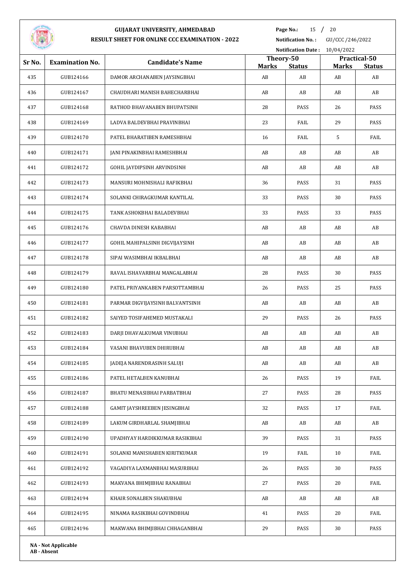

**Page No.:** 15 / 20

| <b>STATISTICS</b> |                            |                                 |                           | <b>Notification Date:</b> | 10/04/2022         |                     |
|-------------------|----------------------------|---------------------------------|---------------------------|---------------------------|--------------------|---------------------|
| Sr No.            | <b>Examination No.</b>     | <b>Candidate's Name</b>         | Theory-50<br><b>Marks</b> |                           |                    | Practical-50        |
| 435               | GUB124166                  | DAMOR ARCHANABEN JAYSINGBHAI    | AB                        | <b>Status</b><br>AB       | <b>Marks</b><br>AB | <b>Status</b><br>AB |
| 436               | GUB124167                  | CHAUDHARI MANISH BAHECHARBHAI   | AB                        | AB                        | AB                 | AB                  |
| 437               | GUB124168                  | RATHOD BHAVANABEN BHUPATSINH    | 28                        | PASS                      | 26                 | PASS                |
| 438               | GUB124169                  | LADVA BALDEVBHAI PRAVINBHAI     | 23                        | FAIL                      | 29                 | PASS                |
| 439               | GUB124170                  | PATEL BHARATIBEN RAMESHBHAI     | 16                        | FAIL                      | 5                  | FAIL                |
| 440               | GUB124171                  | JANI PINAKINBHAI RAMESHBHAI     | AB                        | AB                        | AB                 | AB                  |
| 441               | GUB124172                  | GOHIL JAYDIPSINH ARVINDSINH     | AB                        | AB                        | AB                 | AB                  |
| 442               | GUB124173                  | MANSURI MOHNISHALI RAFIKBHAI    | 36                        | PASS                      | 31                 | PASS                |
| 443               | GUB124174                  | SOLANKI CHIRAGKUMAR KANTILAL    | 33                        | PASS                      | 30                 | PASS                |
| 444               | GUB124175                  | TANK ASHOKBHAI BALADEVBHAI      | 33                        | PASS                      | 33                 | PASS                |
| 445               | GUB124176                  | CHAVDA DINESH KABABHAI          | AB                        | AB                        | AB                 | AB                  |
| 446               | GUB124177                  | GOHIL MAHIPALSINH DIGVIJAYSINH  | AB                        | AB                        | AB                 | AB                  |
| 447               | GUB124178                  | SIPAI WASIMBHAI IKBALBHAI       | AB                        | AB                        | AB                 | AB                  |
| 448               | GUB124179                  | RAVAL ISHAVARBHAI MANGALABHAI   | 28                        | PASS                      | 30                 | PASS                |
| 449               | GUB124180                  | PATEL PRIYANKABEN PARSOTTAMBHAI | 26                        | PASS                      | 25                 | PASS                |
| 450               | GUB124181                  | PARMAR DIGVIJAYSINH BALVANTSINH | AB                        | AB                        | AB                 | AB                  |
| 451               | GUB124182                  | SAIYED TOSIFAHEMED MUSTAKALI    | 29                        | PASS                      | 26                 | PASS                |
| 452               | GUB124183                  | DARJI DHAVALKUMAR VINUBHAI      | AB                        | AB                        | AB                 | AB                  |
| 453               | GUB124184                  | VASANI BHAVUBEN DHIRUBHAI       | AB                        | AB                        | AB                 | AB                  |
| 454               | GUB124185                  | JADEJA NARENDRASINH SALUJI      | AB                        | AB                        | AB                 | AB                  |
| 455               | GUB124186                  | PATEL HETALBEN KANUBHAI         | 26                        | PASS                      | 19                 | FAIL                |
| 456               | GUB124187                  | BHATU MENASIBHAI PARBATBHAI     | 27                        | PASS                      | 28                 | PASS                |
| 457               | GUB124188                  | GAMIT JAYSHREEBEN JESINGBHAI    | 32                        | PASS                      | 17                 | FAIL                |
| 458               | GUB124189                  | LAKUM GIRDHARLAL SHAMJIBHAI     | AB                        | AB                        | AB                 | AB                  |
| 459               | GUB124190                  | UPADHYAY HARDIKKUMAR RASIKBHAI  | 39                        | PASS                      | 31                 | PASS                |
| 460               | GUB124191                  | SOLANKI MANISHABEN KIRITKUMAR   | 19                        | FAIL                      | 10                 | FAIL                |
| 461               | GUB124192                  | VAGADIYA LAXMANBHAI MASURBHAI   | 26                        | PASS                      | 30                 | PASS                |
| 462               | GUB124193                  | MAKVANA BHIMJIBHAI RANABHAI     | 27                        | PASS                      | 20                 | FAIL                |
| 463               | GUB124194                  | KHAIR SONALBEN SHAKUBHAI        | AB                        | AB                        | AB                 | AB                  |
| 464               | GUB124195                  | NINAMA RASIKBHAI GOVINDBHAI     | 41                        | PASS                      | 20                 | FAIL                |
| 465               | GUB124196                  | MAKWANA BHIMJIBHAI CHHAGANBHAI  | 29                        | PASS                      | 30                 | PASS                |
|                   | <b>NA - Not Applicable</b> |                                 |                           |                           |                    |                     |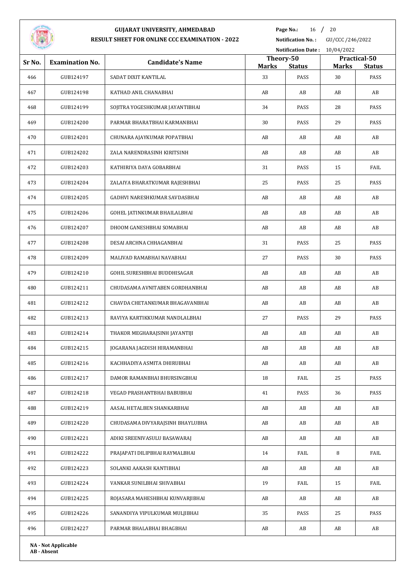

**Page No.:** 16 / 20

**Notification No. :** GU/CCC /246/2022

|        |                        |                                  |                           |               | Notification Date: 10/04/2022 |                               |  |  |
|--------|------------------------|----------------------------------|---------------------------|---------------|-------------------------------|-------------------------------|--|--|
| Sr No. | <b>Examination No.</b> | <b>Candidate's Name</b>          | Theory-50<br><b>Marks</b> | <b>Status</b> | <b>Marks</b>                  | Practical-50<br><b>Status</b> |  |  |
| 466    | GUB124197              | SADAT DIXIT KANTILAL             | 33                        | PASS          | 30                            | PASS                          |  |  |
| 467    | GUB124198              | KATHAD ANIL CHANABHAI            | AB                        | AB            | AB                            | AB                            |  |  |
| 468    | GUB124199              | SOJITRA YOGESHKUMAR JAYANTIBHAI  | 34                        | PASS          | 28                            | PASS                          |  |  |
| 469    | GUB124200              | PARMAR BHARATBHAI KARMANBHAI     | 30                        | PASS          | 29                            | PASS                          |  |  |
| 470    | GUB124201              | CHUNARA AJAYKUMAR POPATBHAI      | AB                        | AB            | AB                            | AB                            |  |  |
| 471    | GUB124202              | ZALA NARENDRASINH KIRITSINH      | AB                        | AB            | AB                            | AB                            |  |  |
| 472    | GUB124203              | KATHIRIYA DAYA GOBARBHAI         | 31                        | PASS          | 15                            | FAIL                          |  |  |
| 473    | GUB124204              | ZALAIYA BHARATKUMAR RAJESHBHAI   | 25                        | PASS          | 25                            | PASS                          |  |  |
| 474    | GUB124205              | GADHVI NARESHKUMAR SAVDASBHAI    | AB                        | AB            | AB                            | AB                            |  |  |
| 475    | GUB124206              | GOHEL JATINKUMAR BHAILALBHAI     | AB                        | AB            | AB                            | AB                            |  |  |
| 476    | GUB124207              | DHOOM GANESHBHAI SOMABHAI        | AB                        | AB            | AB                            | AB                            |  |  |
| 477    | GUB124208              | DESAI ARCHNA CHHAGANBHAI         | 31                        | PASS          | 25                            | PASS                          |  |  |
| 478    | GUB124209              | MALIVAD RAMABHAI NAVABHAI        | 27                        | PASS          | 30                            | PASS                          |  |  |
| 479    | GUB124210              | GOHIL SURESHBHAI BUDDHISAGAR     | AB                        | AB            | AB                            | AB                            |  |  |
| 480    | GUB124211              | CHUDASAMA AVNITABEN GORDHANBHAI  | AB                        | AB            | AB                            | AB                            |  |  |
| 481    | GUB124212              | CHAVDA CHETANKUMAR BHAGAVANBHAI  | AB                        | AB            | AB                            | AB                            |  |  |
| 482    | GUB124213              | RAVIYA KARTIKKUMAR NANDLALBHAI   | 27                        | PASS          | 29                            | PASS                          |  |  |
| 483    | GUB124214              | THAKOR MEGHARAJSINH JAYANTIJI    | AB                        | AB            | AB                            | AB                            |  |  |
| 484    | GUB124215              | JOGARANA JAGDISH HIRAMANBHAI     | AB                        | AB            | AB                            | AB                            |  |  |
| 485    | GUB124216              | KACHHADIYA ASMITA DHIRUBHAI      | AB                        | AB            | AB                            | AB                            |  |  |
| 486    | GUB124217              | DAMOR RAMANBHAI BHURSINGBHAI     | 18                        | FAIL          | 25                            | PASS                          |  |  |
| 487    | GUB124218              | VEGAD PRASHANTBHAI BABUBHAI      | 41                        | PASS          | 36                            | PASS                          |  |  |
| 488    | GUB124219              | AASAL HETALBEN SHANKARBHAI       | AB                        | AB            | AB                            | AB                            |  |  |
| 489    | GUB124220              | CHUDASAMA DIVYARAJSINH BHAYLUBHA | AB                        | AB            | AB                            | AB                            |  |  |
| 490    | GUB124221              | ADIKI SREENIVASULU BASAWARAJ     | AB                        | AB            | AB                            | AB                            |  |  |
| 491    | GUB124222              | PRAJAPATI DILIPBHAI RAYMALBHAI   | 14                        | FAIL          | 8                             | FAIL                          |  |  |
| 492    | GUB124223              | SOLANKI AAKASH KANTIBHAI         | AB                        | AB            | AB                            | AB                            |  |  |
| 493    | GUB124224              | VANKAR SUNILBHAI SHIVABHAI       | 19                        | FAIL          | 15                            | FAIL                          |  |  |
| 494    | GUB124225              | ROJASARA MAHESHBHAI KUNVARJIBHAI | AB                        | AB            | AB                            | AB                            |  |  |
| 495    | GUB124226              | SANANDIYA VIPULKUMAR MULJIBHAI   | 35                        | PASS          | 25                            | PASS                          |  |  |
| 496    | GUB124227              | PARMAR BHALABHAI BHAGBHAI        | AB                        | AB            | AB                            | AB                            |  |  |
|        |                        |                                  |                           |               |                               |                               |  |  |

**NA - Not Applicable AB - Absent**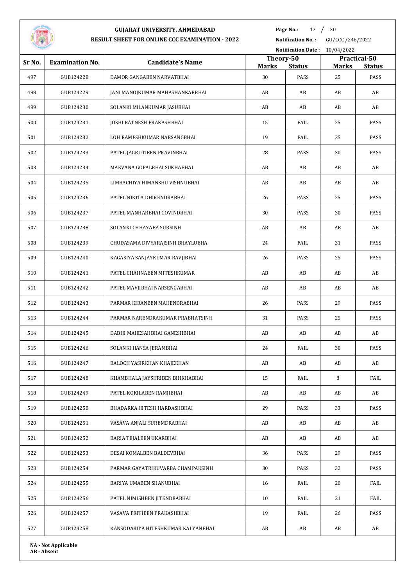

**Page No.:** 17 / 20

**Notification No. :** GU/CCC /246/2022

| --     |                            |                                    |                    | <b>Notification Date:</b> | 10/04/2022         |                       |
|--------|----------------------------|------------------------------------|--------------------|---------------------------|--------------------|-----------------------|
| Sr No. | <b>Examination No.</b>     | <b>Candidate's Name</b>            | Theory-50          |                           |                    | Practical-50          |
| 497    | GUB124228                  | DAMOR GANGABEN NARVATBHAI          | <b>Marks</b><br>30 | <b>Status</b><br>PASS     | <b>Marks</b><br>25 | <b>Status</b><br>PASS |
| 498    | GUB124229                  | JANI MANOJKUMAR MAHASHANKARBHAI    | AB                 | AB                        | AB                 | AB                    |
| 499    | GUB124230                  | SOLANKI MILANKUMAR JASUBHAI        | AB                 | AB                        | AB                 | AB                    |
| 500    | GUB124231                  | JOSHI RATNESH PRAKASHBHAI          | 15                 | FAIL                      | 25                 | PASS                  |
| 501    | GUB124232                  | LOH RAMESHKUMAR NARSANGBHAI        | 19                 | FAIL                      | 25                 | PASS                  |
| 502    | GUB124233                  | PATEL JAGRUTIBEN PRAVINBHAI        | 28                 | PASS                      | 30                 | PASS                  |
|        |                            |                                    |                    |                           |                    |                       |
| 503    | GUB124234                  | MAKVANA GOPALBHAI SUKHABHAI        | AB                 | AB                        | AB                 | AB                    |
| 504    | GUB124235                  | LIMBACHIYA HIMANSHU VISHNUBHAI     | AB                 | AB                        | AB                 | AB                    |
| 505    | GUB124236                  | PATEL NIKITA DHIRENDRABHAI         | 26                 | PASS                      | 25                 | PASS                  |
| 506    | GUB124237                  | PATEL MANHARBHAI GOVINDBHAI        | 30                 | PASS                      | 30                 | PASS                  |
| 507    | GUB124238                  | SOLANKI CHHAYABA SURSINH           | AB                 | AB                        | AB                 | AB                    |
| 508    | GUB124239                  | CHUDASAMA DIVYARAJSINH BHAYLUBHA   | 24                 | FAIL                      | 31                 | PASS                  |
| 509    | GUB124240                  | KAGASIYA SANJAYKUMAR RAVJIBHAI     | 26                 | PASS                      | 25                 | PASS                  |
| 510    | GUB124241                  | PATEL CHAHNABEN MITESHKUMAR        | AB                 | AB                        | AB                 | AB                    |
| 511    | GUB124242                  | PATEL MAVJIBHAI NARSENGABHAI       | AB                 | AB                        | AB                 | AB                    |
| 512    | GUB124243                  | PARMAR KIRANBEN MAHENDRABHAI       | 26                 | PASS                      | 29                 | PASS                  |
| 513    | GUB124244                  | PARMAR NARENDRAKUMAR PRABHATSINH   | 31                 | PASS                      | 25                 | PASS                  |
| 514    | GUB124245                  | DABHI MAHESAHBHAI GANESHBHAI       | AB                 | AB                        | AB                 | AB                    |
| 515    | GUB124246                  | SOLANKI HANSA JERAMBHAI            | 24                 | FAIL                      | 30                 | PASS                  |
| 516    | GUB124247                  | BALOCH YASIRKHAN KHAJEKHAN         | AB                 | AB                        | AB                 | AB                    |
| 517    | GUB124248                  | KHAMBHALA JAYSHRIBEN BHIKHABHAI    | 15                 | FAIL                      | 8                  | FAIL                  |
| 518    | GUB124249                  | PATEL KOKILABEN RAMJIBHAI          | AB                 | AB                        | AB                 | AB                    |
| 519    | GUB124250                  | BHADARKA HITESH HARDASHBHAI        | 29                 | PASS                      | 33                 | PASS                  |
| 520    | GUB124251                  | VASAVA ANJALI SUREMDRABHAI         | AB                 | AB                        | AB                 | AB                    |
| 521    | GUB124252                  | BARIA TEJALBEN UKARBHAI            | AB                 | AB                        | AB                 | AB                    |
| 522    | GUB124253                  | DESAI KOMALBEN BALDEVBHAI          | 36                 | PASS                      | 29                 | PASS                  |
| 523    | GUB124254                  | PARMAR GAYATRIKUVARBA CHAMPAKSINH  | 30                 | PASS                      | 32                 | PASS                  |
| 524    | GUB124255                  | BARIYA UMABEN SHANUBHAI            | 16                 | FAIL                      | 20                 | FAIL                  |
| 525    | GUB124256                  | PATEL NIMISHBEN JITENDRABHAI       | 10                 | FAIL                      | 21                 | FAIL                  |
| 526    | GUB124257                  | VASAVA PRITIBEN PRAKASHBHAI        | 19                 | FAIL                      | 26                 | PASS                  |
| 527    | GUB124258                  | KANSODARIYA HITESHKUMAR KALYANBHAI | AB                 | AB                        | AB                 | AB                    |
|        |                            |                                    |                    |                           |                    |                       |
|        | <b>NA - Not Applicable</b> |                                    |                    |                           |                    |                       |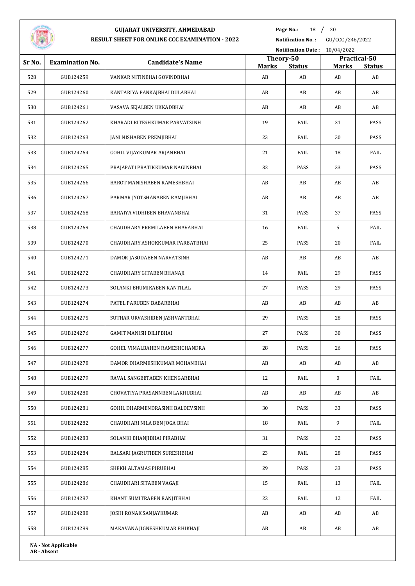

**Page No.:** 18 / 20

|        |                        |                                 |                           |               | Notification Date: 10/04/2022 |                               |  |  |
|--------|------------------------|---------------------------------|---------------------------|---------------|-------------------------------|-------------------------------|--|--|
| Sr No. | <b>Examination No.</b> | <b>Candidate's Name</b>         | Theory-50<br><b>Marks</b> | <b>Status</b> | <b>Marks</b>                  | Practical-50<br><b>Status</b> |  |  |
| 528    | GUB124259              | VANKAR NITINBHAI GOVINDBHAI     | AB                        | AB            | AB                            | AB                            |  |  |
| 529    | GUB124260              | KANTARIYA PANKAJBHAI DULABHAI   | AB                        | AB            | AB                            | AB                            |  |  |
| 530    | GUB124261              | VASAVA SEJALBEN UKKADBHAI       | AB                        | AB            | AB                            | AB                            |  |  |
| 531    | GUB124262              | KHARADI RITESHKUMAR PARVATSINH  | 19                        | FAIL          | 31                            | PASS                          |  |  |
| 532    | GUB124263              | JANI NISHABEN PREMJIBHAI        | 23                        | FAIL          | 30                            | PASS                          |  |  |
| 533    | GUB124264              | GOHIL VIJAYKUMAR ARJANBHAI      | 21                        | FAIL          | 18                            | FAIL                          |  |  |
| 534    | GUB124265              | PRAJAPATI PRATIKKUMAR NAGINBHAI | 32                        | PASS          | 33                            | PASS                          |  |  |
| 535    | GUB124266              | BAROT MANISHABEN RAMESHBHAI     | AB                        | AB            | AB                            | AB                            |  |  |
| 536    | GUB124267              | PARMAR JYOTSHANABEN RAMJIBHAI   | AB                        | AB            | AB                            | AB                            |  |  |
| 537    | GUB124268              | BARAIYA VIDHIBEN BHAVANBHAI     | 31                        | PASS          | 37                            | PASS                          |  |  |
| 538    | GUB124269              | CHAUDHARY PREMILABEN BHAVABHAI  | 16                        | FAIL          | 5                             | FAIL                          |  |  |
| 539    | GUB124270              | CHAUDHARY ASHOKKUMAR PARBATBHAI | 25                        | PASS          | 20                            | FAIL                          |  |  |
| 540    | GUB124271              | DAMOR JASODABEN NARVATSINH      | AB                        | AB            | AB                            | AB                            |  |  |
| 541    | GUB124272              | CHAUDHARY GITABEN BHANAJI       | 14                        | FAIL          | 29                            | PASS                          |  |  |
| 542    | GUB124273              | SOLANKI BHUMIKABEN KANTILAL     | 27                        | PASS          | 29                            | PASS                          |  |  |
| 543    | GUB124274              | PATEL PARUBEN BABARBHAI         | AB                        | AB            | AB                            | AB                            |  |  |
| 544    | GUB124275              | SUTHAR URVASHIBEN JASHVANTBHAI  | 29                        | PASS          | 28                            | PASS                          |  |  |
| 545    | GUB124276              | GAMIT MANISH DILIPBHAI          | 27                        | PASS          | 30                            | PASS                          |  |  |
| 546    | GUB124277              | GOHEL VIMALBAHEN RAMESHCHANDRA  | 28                        | PASS          | 26                            | PASS                          |  |  |
| 547    | GUB124278              | DAMOR DHARMESHKUMAR MOHANBHAI   | AB                        | AB            | AB                            | AB                            |  |  |
| 548    | GUB124279              | RAVAL SANGEETABEN KHENGARBHAI   | 12                        | FAIL          | $\boldsymbol{0}$              | FAIL                          |  |  |
| 549    | GUB124280              | CHOVATIYA PRASANNBEN LAKHUBHAI  | AB                        | AB            | AB                            | AB                            |  |  |
| 550    | GUB124281              | GOHIL DHARMENDRASINH BALDEVSINH | 30                        | PASS          | 33                            | PASS                          |  |  |
| 551    | GUB124282              | CHAUDHARI NILA BEN JOGA BHAI    | 18                        | FAIL          | 9                             | FAIL                          |  |  |
| 552    | GUB124283              | SOLANKI BHANJIBHAI PIRABHAI     | 31                        | PASS          | 32                            | PASS                          |  |  |
| 553    | GUB124284              | BALSARI JAGRUTIBEN SURESHBHAI   | 23                        | FAIL          | 28                            | PASS                          |  |  |
| 554    | GUB124285              | SHEKH ALTAMAS PIRUBHAI          | 29                        | PASS          | 33                            | PASS                          |  |  |
| 555    | GUB124286              | CHAUDHARI SITABEN VAGAJI        | 15                        | FAIL          | 13                            | FAIL                          |  |  |
| 556    | GUB124287              | KHANT SUMITRABEN RANJITBHAI     | 22                        | FAIL          | 12                            | FAIL                          |  |  |
| 557    | GUB124288              | JOSHI RONAK SANJAYKUMAR         | AB                        | AB            | AB                            | AB                            |  |  |
| 558    | GUB124289              | MAKAVANA JIGNESHKUMAR BHIKHAJI  | AB                        | AB            | AB                            | AB                            |  |  |
|        |                        |                                 |                           |               |                               |                               |  |  |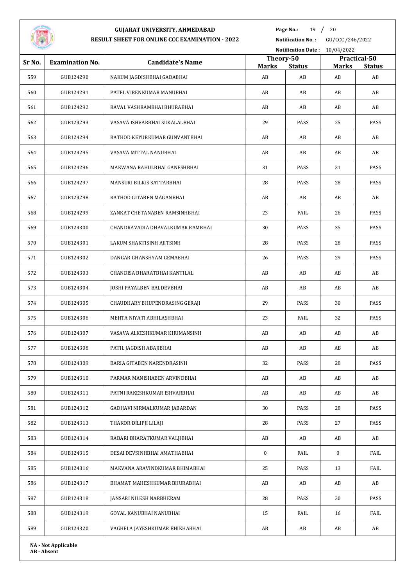

**Page No.:** 19 / 20

**Notification No. :** GU/CCC /246/2022

|        |                            |                                  |                           |               | Notification Date: 10/04/2022 |                               |  |  |
|--------|----------------------------|----------------------------------|---------------------------|---------------|-------------------------------|-------------------------------|--|--|
| Sr No. | <b>Examination No.</b>     | <b>Candidate's Name</b>          | Theory-50<br><b>Marks</b> | <b>Status</b> |                               | Practical-50<br><b>Status</b> |  |  |
| 559    | GUB124290                  | NAKUM JAGDISHBHAI GADABHAI       | AB                        | AB            | <b>Marks</b><br>AB            | AB                            |  |  |
| 560    | GUB124291                  | PATEL VIRENKUMAR MANUBHAI        | AB                        | AB            | AB                            | AB                            |  |  |
| 561    | GUB124292                  | RAVAL VASHRAMBHAI BHURABHAI      | AB                        | AB            | AB                            | AB                            |  |  |
| 562    | GUB124293                  | VASAVA ISHVARBHAI SUKALALBHAI    | 29                        | PASS          | 25                            | PASS                          |  |  |
| 563    | GUB124294                  | RATHOD KEYURKUMAR GUNVANTBHAI    | AB                        | AB            | AB                            | AB                            |  |  |
| 564    | GUB124295                  | VASAVA MITTAL NANUBHAI           | AB                        | AB            | AB                            | AB                            |  |  |
| 565    | GUB124296                  | MAKWANA RAHULBHAI GANESHBHAI     | 31                        | PASS          | 31                            | PASS                          |  |  |
| 566    | GUB124297                  | MANSURI BILKIS SATTARBHAI        | 28                        | PASS          | 28                            | PASS                          |  |  |
| 567    | GUB124298                  | RATHOD GITABEN MAGANBHAI         | AB                        | AB            | AB                            | AB                            |  |  |
| 568    | GUB124299                  | ZANKAT CHETANABEN RAMSINHBHAI    | 23                        | FAIL          | 26                            | PASS                          |  |  |
| 569    | GUB124300                  | CHANDRAVADIA DHAVALKUMAR RAMBHAI | 30                        | PASS          | 35                            | PASS                          |  |  |
| 570    | GUB124301                  | LAKUM SHAKTISINH AJITSINH        | 28                        | PASS          | 28                            | PASS                          |  |  |
| 571    | GUB124302                  | DANGAR GHANSHYAM GEMABHAI        | 26                        | PASS          | 29                            | PASS                          |  |  |
| 572    | GUB124303                  | CHANDISA BHARATBHAI KANTILAL     | AB                        | AB            | AB                            | AB                            |  |  |
| 573    | GUB124304                  | JOSHI PAYALBEN BALDEVBHAI        | AB                        | AB            | AB                            | AB                            |  |  |
| 574    | GUB124305                  | CHAUDHARY BHUPENDRASING GERAJI   | 29                        | PASS          | 30                            | PASS                          |  |  |
| 575    | GUB124306                  | MEHTA NIYATI ABHILASHBHAI        | 23                        | FAIL          | 32                            | PASS                          |  |  |
| 576    | GUB124307                  | VASAVA ALKESHKUMAR KHUMANSINH    | AB                        | AB            | AB                            | AB                            |  |  |
| 577    | GUB124308                  | PATIL JAGDISH ABAJIBHAI          | AB                        | AB            | AB                            | AB                            |  |  |
| 578    | GUB124309                  | BARIA GITABEN NARENDRASINH       | 32                        | PASS          | 28                            | PASS                          |  |  |
| 579    | GUB124310                  | PARMAR MANISHABEN ARVINDBHAI     | AB                        | AB            | AB                            | AB                            |  |  |
| 580    | GUB124311                  | PATNI RAKESHKUMAR ISHVARBHAI     | AB                        | AB            | AB                            | AB                            |  |  |
| 581    | GUB124312                  | GADHAVI NIRMALKUMAR JABARDAN     | 30                        | PASS          | 28                            | PASS                          |  |  |
| 582    | GUB124313                  | THAKOR DILIPJI LILAJI            | 28                        | PASS          | 27                            | PASS                          |  |  |
| 583    | GUB124314                  | RABARI BHARATKUMAR VALJIBHAI     | AB                        | AB            | AB                            | AB                            |  |  |
| 584    | GUB124315                  | DESAI DEVSINHBHAI AMATHABHAI     | $\boldsymbol{0}$          | FAIL          | $\bf{0}$                      | FAIL                          |  |  |
| 585    | GUB124316                  | MAKVANA ARAVINDKUMAR BHIMABHAI   | 25                        | PASS          | 13                            | FAIL                          |  |  |
| 586    | GUB124317                  | BHAMAT MAHESHKUMAR BHURABHAI     | AB                        | AB            | AB                            | AB                            |  |  |
| 587    | GUB124318                  | JANSARI NILESH NARBHERAM         | 28                        | PASS          | 30                            | PASS                          |  |  |
| 588    | GUB124319                  | GOYAL KANUBHAI NANUBHAI          | 15                        | FAIL          | 16                            | FAIL                          |  |  |
| 589    | GUB124320                  | VAGHELA JAYESHKUMAR BHIKHABHAI   | AB                        | AB            | AB                            | AB                            |  |  |
|        | <b>NA - Not Applicable</b> |                                  |                           |               |                               |                               |  |  |